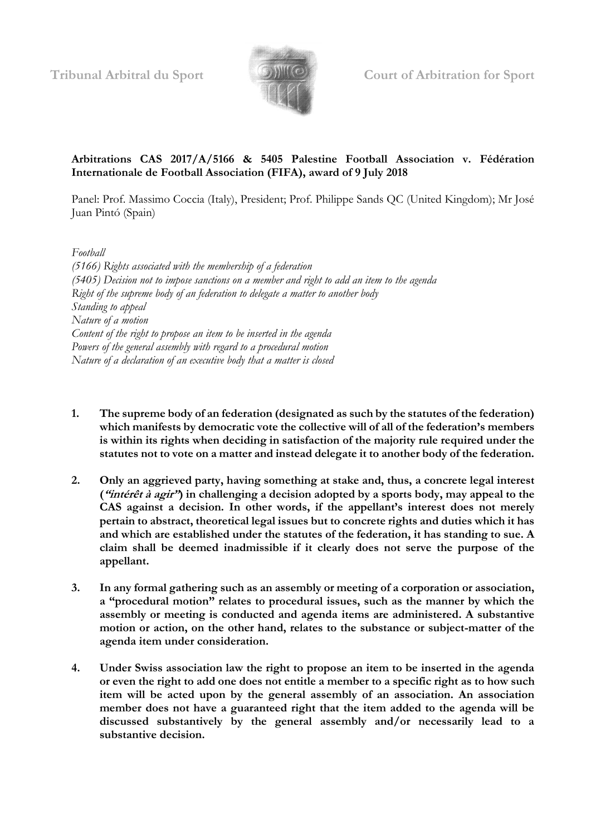

**Tribunal Arbitral du Sport Court of Arbitration for Sport**

# **Arbitrations CAS 2017/A/5166 & 5405 Palestine Football Association v. Fédération Internationale de Football Association (FIFA), award of 9 July 2018**

Panel: Prof. Massimo Coccia (Italy), President; Prof. Philippe Sands QC (United Kingdom); Mr José Juan Pintó (Spain)

*Football (5166) Rights associated with the membership of a federation (5405) Decision not to impose sanctions on a member and right to add an item to the agenda Right of the supreme body of an federation to delegate a matter to another body Standing to appeal Nature of a motion Content of the right to propose an item to be inserted in the agenda Powers of the general assembly with regard to a procedural motion Nature of a declaration of an executive body that a matter is closed*

- **1. The supreme body of an federation (designated as such by the statutes of the federation) which manifests by democratic vote the collective will of all of the federation's members is within its rights when deciding in satisfaction of the majority rule required under the statutes not to vote on a matter and instead delegate it to another body of the federation.**
- **2. Only an aggrieved party, having something at stake and, thus, a concrete legal interest ("intérêt à agir") in challenging a decision adopted by a sports body, may appeal to the CAS against a decision. In other words, if the appellant's interest does not merely pertain to abstract, theoretical legal issues but to concrete rights and duties which it has and which are established under the statutes of the federation, it has standing to sue. A claim shall be deemed inadmissible if it clearly does not serve the purpose of the appellant.**
- **3. In any formal gathering such as an assembly or meeting of a corporation or association, a "procedural motion" relates to procedural issues, such as the manner by which the assembly or meeting is conducted and agenda items are administered. A substantive motion or action, on the other hand, relates to the substance or subject-matter of the agenda item under consideration.**
- **4. Under Swiss association law the right to propose an item to be inserted in the agenda or even the right to add one does not entitle a member to a specific right as to how such item will be acted upon by the general assembly of an association. An association member does not have a guaranteed right that the item added to the agenda will be discussed substantively by the general assembly and/or necessarily lead to a substantive decision.**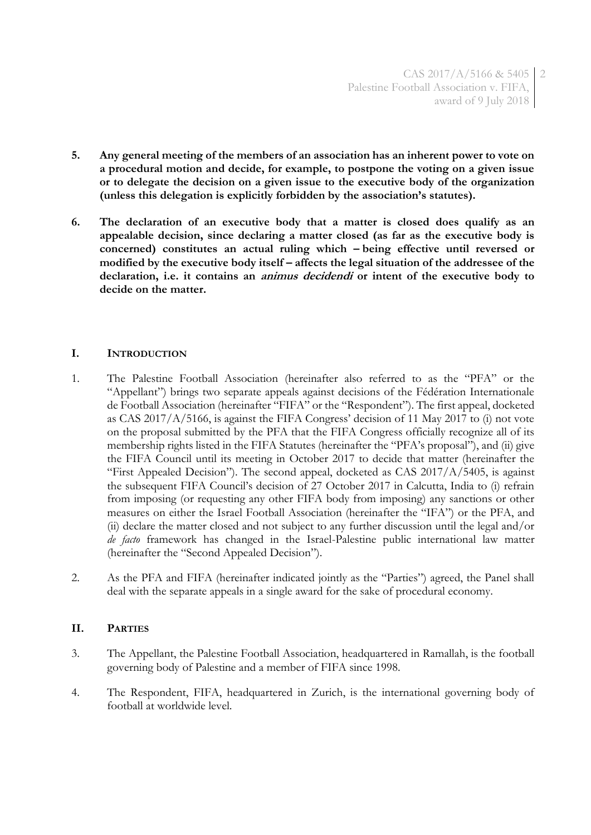- **5. Any general meeting of the members of an association has an inherent power to vote on a procedural motion and decide, for example, to postpone the voting on a given issue or to delegate the decision on a given issue to the executive body of the organization (unless this delegation is explicitly forbidden by the association's statutes).**
- **6. The declaration of an executive body that a matter is closed does qualify as an appealable decision, since declaring a matter closed (as far as the executive body is concerned) constitutes an actual ruling which – being effective until reversed or modified by the executive body itself – affects the legal situation of the addressee of the declaration, i.e. it contains an animus decidendi or intent of the executive body to decide on the matter.**

## **I. INTRODUCTION**

- 1. The Palestine Football Association (hereinafter also referred to as the "PFA" or the "Appellant") brings two separate appeals against decisions of the Fédération Internationale de Football Association (hereinafter "FIFA" or the "Respondent"). The first appeal, docketed as CAS 2017/A/5166, is against the FIFA Congress' decision of 11 May 2017 to (i) not vote on the proposal submitted by the PFA that the FIFA Congress officially recognize all of its membership rights listed in the FIFA Statutes (hereinafter the "PFA's proposal"), and (ii) give the FIFA Council until its meeting in October 2017 to decide that matter (hereinafter the "First Appealed Decision"). The second appeal, docketed as CAS 2017/A/5405, is against the subsequent FIFA Council's decision of 27 October 2017 in Calcutta, India to (i) refrain from imposing (or requesting any other FIFA body from imposing) any sanctions or other measures on either the Israel Football Association (hereinafter the "IFA") or the PFA, and (ii) declare the matter closed and not subject to any further discussion until the legal and/or *de facto* framework has changed in the Israel-Palestine public international law matter (hereinafter the "Second Appealed Decision").
- 2. As the PFA and FIFA (hereinafter indicated jointly as the "Parties") agreed, the Panel shall deal with the separate appeals in a single award for the sake of procedural economy.

#### **II. PARTIES**

- 3. The Appellant, the Palestine Football Association, headquartered in Ramallah, is the football governing body of Palestine and a member of FIFA since 1998.
- 4. The Respondent, FIFA, headquartered in Zurich, is the international governing body of football at worldwide level.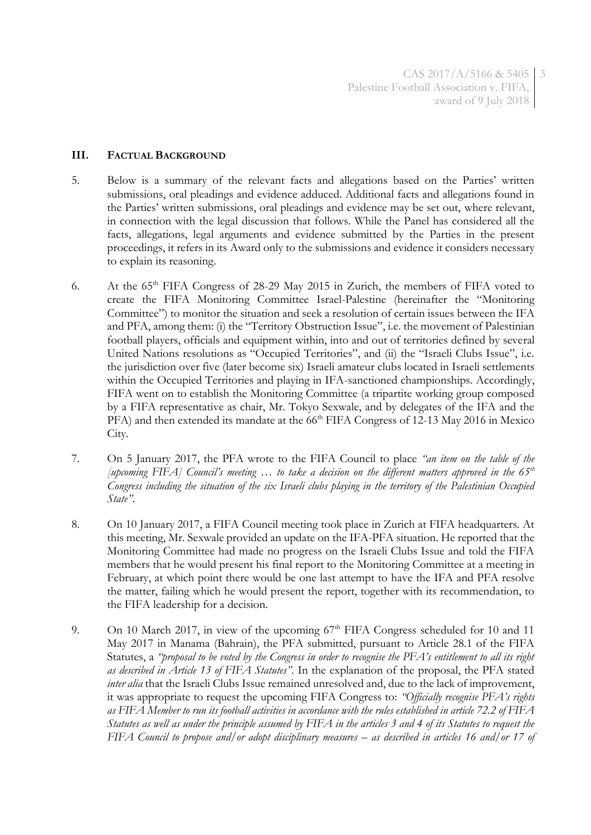CAS 2017/A/5166 & 5405 3 Palestine Football Association v. FIFA, award of 9 July 2018

#### **III. FACTUAL BACKGROUND**

- 5. Below is a summary of the relevant facts and allegations based on the Parties' written submissions, oral pleadings and evidence adduced. Additional facts and allegations found in the Parties' written submissions, oral pleadings and evidence may be set out, where relevant, in connection with the legal discussion that follows. While the Panel has considered all the facts, allegations, legal arguments and evidence submitted by the Parties in the present proceedings, it refers in its Award only to the submissions and evidence it considers necessary to explain its reasoning.
- 6. At the  $65<sup>th</sup>$  FIFA Congress of 28-29 May 2015 in Zurich, the members of FIFA voted to create the FIFA Monitoring Committee Israel-Palestine (hereinafter the "Monitoring Committee") to monitor the situation and seek a resolution of certain issues between the IFA and PFA, among them: (i) the "Territory Obstruction Issue", i.e. the movement of Palestinian football players, officials and equipment within, into and out of territories defined by several United Nations resolutions as "Occupied Territories", and (ii) the "Israeli Clubs Issue", i.e. the jurisdiction over five (later become six) Israeli amateur clubs located in Israeli settlements within the Occupied Territories and playing in IFA-sanctioned championships. Accordingly, FIFA went on to establish the Monitoring Committee (a tripartite working group composed by a FIFA representative as chair, Mr. Tokyo Sexwale, and by delegates of the IFA and the  $PFA$ ) and then extended its mandate at the 66<sup>th</sup> FIFA Congress of 12-13 May 2016 in Mexico City.
- 7. On 5 January 2017, the PFA wrote to the FIFA Council to place *"an item on the table of the [upcoming FIFA] Council's meeting … to take a decision on the different matters approved in the 65th Congress including the situation of the six Israeli clubs playing in the territory of the Palestinian Occupied State"*.
- 8. On 10 January 2017, a FIFA Council meeting took place in Zurich at FIFA headquarters. At this meeting, Mr. Sexwale provided an update on the IFA-PFA situation. He reported that the Monitoring Committee had made no progress on the Israeli Clubs Issue and told the FIFA members that he would present his final report to the Monitoring Committee at a meeting in February, at which point there would be one last attempt to have the IFA and PFA resolve the matter, failing which he would present the report, together with its recommendation, to the FIFA leadership for a decision.
- <span id="page-2-0"></span>9. On 10 March 2017, in view of the upcoming  $67<sup>th</sup>$  FIFA Congress scheduled for 10 and 11 May 2017 in Manama (Bahrain), the PFA submitted, pursuant to Article 28.1 of the FIFA Statutes, a *"proposal to be voted by the Congress in order to recognise the PFA's entitlement to all its right as described in Article 13 of FIFA Statutes"*. In the explanation of the proposal, the PFA stated *inter alia* that the Israeli Clubs Issue remained unresolved and, due to the lack of improvement, it was appropriate to request the upcoming FIFA Congress to: *"Officially recognise PFA's rights as FIFA Member to run its football activities in accordance with the rules established in article 72.2 of FIFA Statutes as well as under the principle assumed by FIFA in the articles 3 and 4 of its Statutes to request the FIFA Council to propose and/or adopt disciplinary measures – as described in articles 16 and/or 17 of*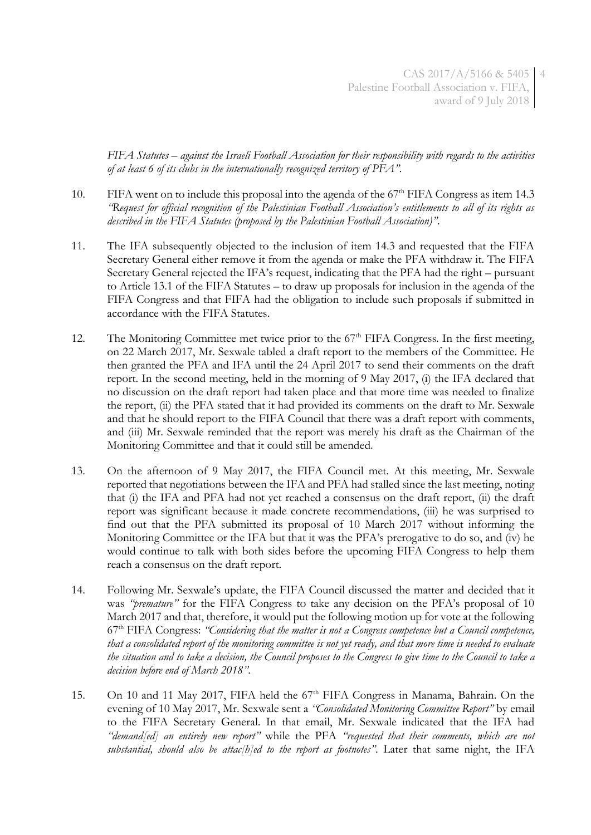*FIFA Statutes – against the Israeli Football Association for their responsibility with regards to the activities of at least 6 of its clubs in the internationally recognized territory of PFA"*.

- <span id="page-3-0"></span>10. FIFA went on to include this proposal into the agenda of the  $67<sup>th</sup>$  FIFA Congress as item 14.3 *"Request for official recognition of the Palestinian Football Association's entitlements to all of its rights as described in the FIFA Statutes (proposed by the Palestinian Football Association)"*.
- 11. The IFA subsequently objected to the inclusion of item 14.3 and requested that the FIFA Secretary General either remove it from the agenda or make the PFA withdraw it. The FIFA Secretary General rejected the IFA's request, indicating that the PFA had the right – pursuant to Article 13.1 of the FIFA Statutes – to draw up proposals for inclusion in the agenda of the FIFA Congress and that FIFA had the obligation to include such proposals if submitted in accordance with the FIFA Statutes.
- 12. The Monitoring Committee met twice prior to the 67<sup>th</sup> FIFA Congress. In the first meeting, on 22 March 2017, Mr. Sexwale tabled a draft report to the members of the Committee. He then granted the PFA and IFA until the 24 April 2017 to send their comments on the draft report. In the second meeting, held in the morning of 9 May 2017, (i) the IFA declared that no discussion on the draft report had taken place and that more time was needed to finalize the report, (ii) the PFA stated that it had provided its comments on the draft to Mr. Sexwale and that he should report to the FIFA Council that there was a draft report with comments, and (iii) Mr. Sexwale reminded that the report was merely his draft as the Chairman of the Monitoring Committee and that it could still be amended.
- 13. On the afternoon of 9 May 2017, the FIFA Council met. At this meeting, Mr. Sexwale reported that negotiations between the IFA and PFA had stalled since the last meeting, noting that (i) the IFA and PFA had not yet reached a consensus on the draft report, (ii) the draft report was significant because it made concrete recommendations, (iii) he was surprised to find out that the PFA submitted its proposal of 10 March 2017 without informing the Monitoring Committee or the IFA but that it was the PFA's prerogative to do so, and (iv) he would continue to talk with both sides before the upcoming FIFA Congress to help them reach a consensus on the draft report.
- 14. Following Mr. Sexwale's update, the FIFA Council discussed the matter and decided that it was *"premature"* for the FIFA Congress to take any decision on the PFA's proposal of 10 March 2017 and that, therefore, it would put the following motion up for vote at the following 67th FIFA Congress: *"Considering that the matter is not a Congress competence but a Council competence, that a consolidated report of the monitoring committee is not yet ready, and that more time is needed to evaluate the situation and to take a decision, the Council proposes to the Congress to give time to the Council to take a decision before end of March 2018"*.
- 15. On 10 and 11 May 2017, FIFA held the 67<sup>th</sup> FIFA Congress in Manama, Bahrain. On the evening of 10 May 2017, Mr. Sexwale sent a *"Consolidated Monitoring Committee Report"* by email to the FIFA Secretary General. In that email, Mr. Sexwale indicated that the IFA had *"demand[ed] an entirely new report"* while the PFA *"requested that their comments, which are not substantial, should also be attac[h]ed to the report as footnotes"*. Later that same night, the IFA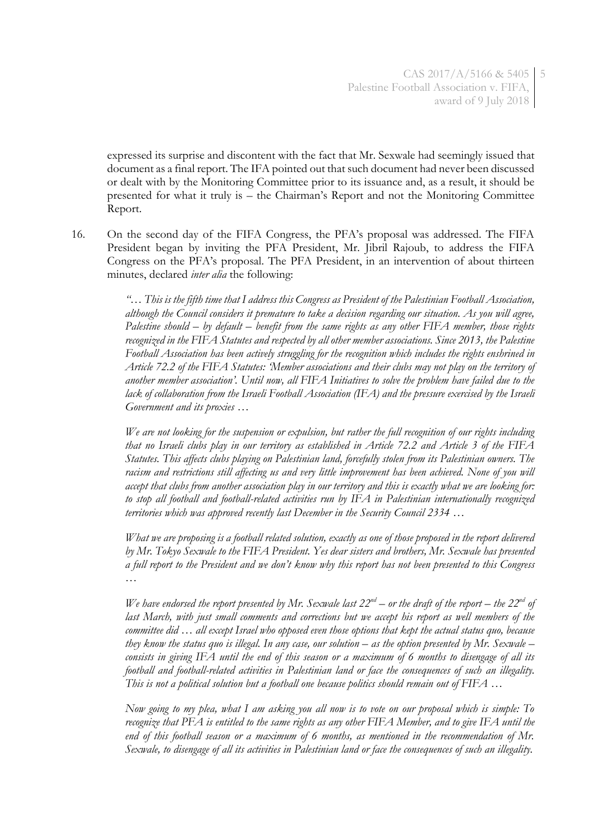expressed its surprise and discontent with the fact that Mr. Sexwale had seemingly issued that document as a final report. The IFA pointed out that such document had never been discussed or dealt with by the Monitoring Committee prior to its issuance and, as a result, it should be presented for what it truly is – the Chairman's Report and not the Monitoring Committee Report.

16. On the second day of the FIFA Congress, the PFA's proposal was addressed. The FIFA President began by inviting the PFA President, Mr. Jibril Rajoub, to address the FIFA Congress on the PFA's proposal. The PFA President, in an intervention of about thirteen minutes, declared *inter alia* the following:

> <span id="page-4-0"></span>*"… This is the fifth time that I address this Congress as President of the Palestinian Football Association, although the Council considers it premature to take a decision regarding our situation. As you will agree, Palestine should – by default – benefit from the same rights as any other FIFA member, those rights recognized in the FIFA Statutes and respected by all other member associations. Since 2013, the Palestine Football Association has been actively struggling for the recognition which includes the rights enshrined in Article 72.2 of the FIFA Statutes: 'Member associations and their clubs may not play on the territory of another member association'. Until now, all FIFA Initiatives to solve the problem have failed due to the lack of collaboration from the Israeli Football Association (IFA) and the pressure exercised by the Israeli Government and its proxies …*

> *We are not looking for the suspension or expulsion, but rather the full recognition of our rights including that no Israeli clubs play in our territory as established in Article 72.2 and Article 3 of the FIFA Statutes. This affects clubs playing on Palestinian land, forcefully stolen from its Palestinian owners. The racism and restrictions still affecting us and very little improvement has been achieved. None of you will accept that clubs from another association play in our territory and this is exactly what we are looking for: to stop all football and football-related activities run by IFA in Palestinian internationally recognized territories which was approved recently last December in the Security Council 2334 …*

> *What we are proposing is a football related solution, exactly as one of those proposed in the report delivered by Mr. Tokyo Sexwale to the FIFA President. Yes dear sisters and brothers, Mr. Sexwale has presented a full report to the President and we don't know why this report has not been presented to this Congress …*

> *We have endorsed the report presented by Mr. Sexwale last 22nd – or the draft of the report – the 22nd of last March, with just small comments and corrections but we accept his report as well members of the committee did … all except Israel who opposed even those options that kept the actual status quo, because they know the status quo is illegal. In any case, our solution – as the option presented by Mr. Sexwale – consists in giving IFA until the end of this season or a maximum of 6 months to disengage of all its football and football-related activities in Palestinian land or face the consequences of such an illegality. This is not a political solution but a football one because politics should remain out of FIFA …*

> *Now going to my plea, what I am asking you all now is to vote on our proposal which is simple: To recognize that PFA is entitled to the same rights as any other FIFA Member, and to give IFA until the end of this football season or a maximum of 6 months, as mentioned in the recommendation of Mr. Sexwale, to disengage of all its activities in Palestinian land or face the consequences of such an illegality.*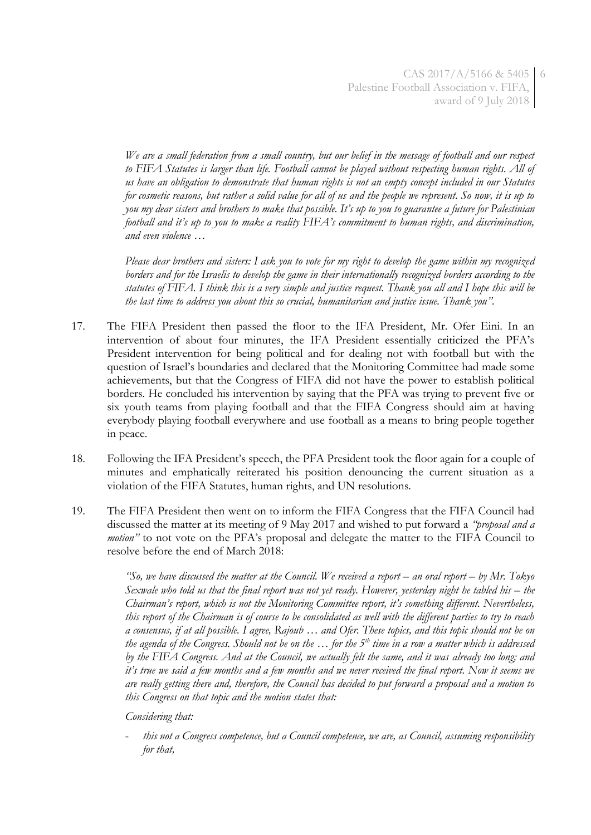*We are a small federation from a small country, but our belief in the message of football and our respect to FIFA Statutes is larger than life. Football cannot be played without respecting human rights. All of us have an obligation to demonstrate that human rights is not an empty concept included in our Statutes for cosmetic reasons, but rather a solid value for all of us and the people we represent. So now, it is up to you my dear sisters and brothers to make that possible. It's up to you to guarantee a future for Palestinian football and it's up to you to make a reality FIFA's commitment to human rights, and discrimination, and even violence …* 

*Please dear brothers and sisters: I ask you to vote for my right to develop the game within my recognized borders and for the Israelis to develop the game in their internationally recognized borders according to the statutes of FIFA. I think this is a very simple and justice request. Thank you all and I hope this will be the last time to address you about this so crucial, humanitarian and justice issue. Thank you".*

- 17. The FIFA President then passed the floor to the IFA President, Mr. Ofer Eini. In an intervention of about four minutes, the IFA President essentially criticized the PFA's President intervention for being political and for dealing not with football but with the question of Israel's boundaries and declared that the Monitoring Committee had made some achievements, but that the Congress of FIFA did not have the power to establish political borders. He concluded his intervention by saying that the PFA was trying to prevent five or six youth teams from playing football and that the FIFA Congress should aim at having everybody playing football everywhere and use football as a means to bring people together in peace.
- 18. Following the IFA President's speech, the PFA President took the floor again for a couple of minutes and emphatically reiterated his position denouncing the current situation as a violation of the FIFA Statutes, human rights, and UN resolutions.
- <span id="page-5-0"></span>19. The FIFA President then went on to inform the FIFA Congress that the FIFA Council had discussed the matter at its meeting of 9 May 2017 and wished to put forward a *"proposal and a motion*<sup>"</sup> to not vote on the PFA's proposal and delegate the matter to the FIFA Council to resolve before the end of March 2018:

*"So, we have discussed the matter at the Council. We received a report – an oral report – by Mr. Tokyo Sexwale who told us that the final report was not yet ready. However, yesterday night he tabled his – the Chairman's report, which is not the Monitoring Committee report, it's something different. Nevertheless, this report of the Chairman is of course to be consolidated as well with the different parties to try to reach a consensus, if at all possible. I agree, Rajoub … and Ofer. These topics, and this topic should not be on the agenda of the Congress. Should not be on the … for the 5th time in a row a matter which is addressed by the FIFA Congress. And at the Council, we actually felt the same, and it was already too long; and it's true we said a few months and a few months and we never received the final report. Now it seems we are really getting there and, therefore, the Council has decided to put forward a proposal and a motion to this Congress on that topic and the motion states that:*

*Considering that:* 

- *this not a Congress competence, but a Council competence, we are, as Council, assuming responsibility for that,*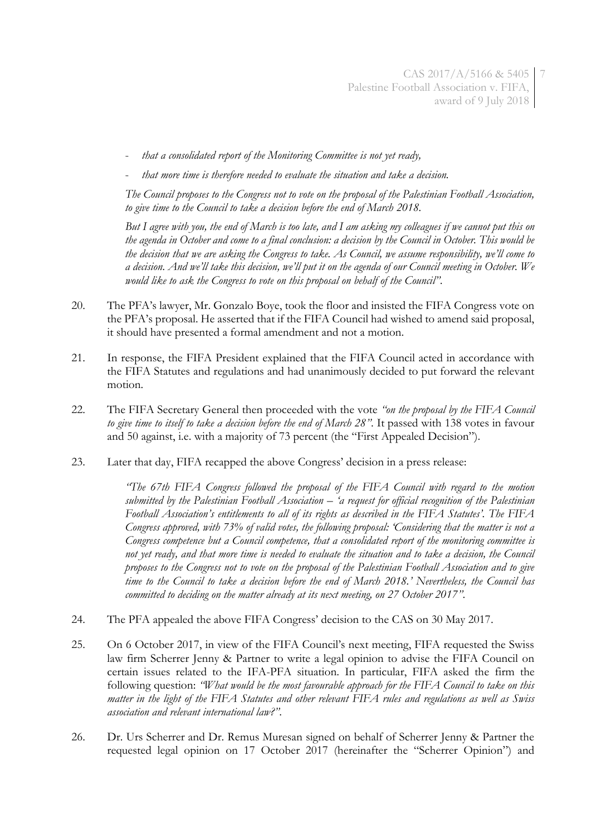- *that a consolidated report of the Monitoring Committee is not yet ready,*
- *that more time is therefore needed to evaluate the situation and take a decision.*

*The Council proposes to the Congress not to vote on the proposal of the Palestinian Football Association, to give time to the Council to take a decision before the end of March 2018.* 

*But I agree with you, the end of March is too late, and I am asking my colleagues if we cannot put this on the agenda in October and come to a final conclusion: a decision by the Council in October. This would be the decision that we are asking the Congress to take. As Council, we assume responsibility, we'll come to a decision. And we'll take this decision, we'll put it on the agenda of our Council meeting in October. We would like to ask the Congress to vote on this proposal on behalf of the Council"*.

- 20. The PFA's lawyer, Mr. Gonzalo Boye, took the floor and insisted the FIFA Congress vote on the PFA's proposal. He asserted that if the FIFA Council had wished to amend said proposal, it should have presented a formal amendment and not a motion.
- 21. In response, the FIFA President explained that the FIFA Council acted in accordance with the FIFA Statutes and regulations and had unanimously decided to put forward the relevant motion.
- <span id="page-6-1"></span>22. The FIFA Secretary General then proceeded with the vote *"on the proposal by the FIFA Council to give time to itself to take a decision before the end of March 28"*. It passed with 138 votes in favour and 50 against, i.e. with a majority of 73 percent (the "First Appealed Decision").
- <span id="page-6-0"></span>23. Later that day, FIFA recapped the above Congress' decision in a press release:

*"The 67th FIFA Congress followed the proposal of the FIFA Council with regard to the motion submitted by the Palestinian Football Association – 'a request for official recognition of the Palestinian Football Association's entitlements to all of its rights as described in the FIFA Statutes'. The FIFA Congress approved, with 73% of valid votes, the following proposal: 'Considering that the matter is not a Congress competence but a Council competence, that a consolidated report of the monitoring committee is not yet ready, and that more time is needed to evaluate the situation and to take a decision, the Council proposes to the Congress not to vote on the proposal of the Palestinian Football Association and to give time to the Council to take a decision before the end of March 2018.' Nevertheless, the Council has committed to deciding on the matter already at its next meeting, on 27 October 2017"*.

- 24. The PFA appealed the above FIFA Congress' decision to the CAS on 30 May 2017.
- 25. On 6 October 2017, in view of the FIFA Council's next meeting, FIFA requested the Swiss law firm Scherrer Jenny & Partner to write a legal opinion to advise the FIFA Council on certain issues related to the IFA-PFA situation. In particular, FIFA asked the firm the following question: *"What would be the most favourable approach for the FIFA Council to take on this matter in the light of the FIFA Statutes and other relevant FIFA rules and regulations as well as Swiss association and relevant international law?"*.
- 26. Dr. Urs Scherrer and Dr. Remus Muresan signed on behalf of Scherrer Jenny & Partner the requested legal opinion on 17 October 2017 (hereinafter the "Scherrer Opinion") and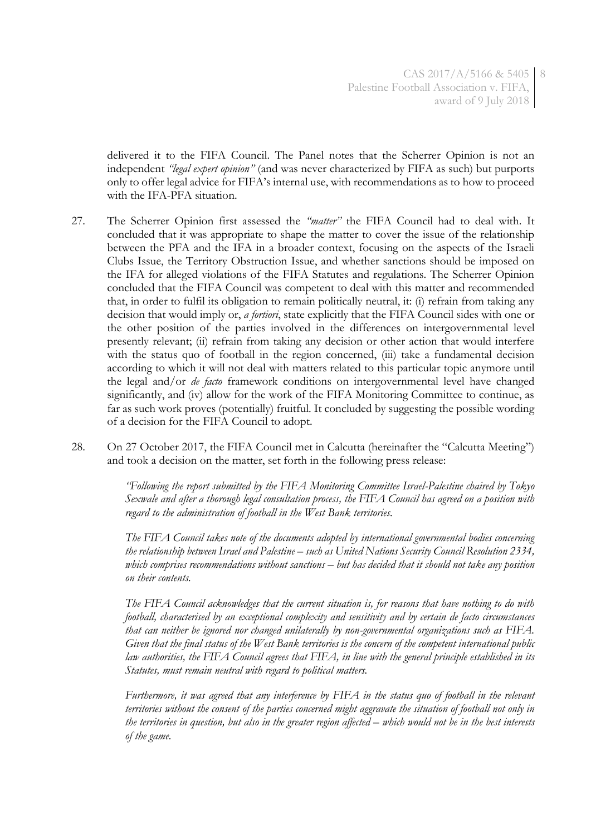delivered it to the FIFA Council. The Panel notes that the Scherrer Opinion is not an independent *"legal expert opinion"* (and was never characterized by FIFA as such) but purports only to offer legal advice for FIFA's internal use, with recommendations as to how to proceed with the IFA-PFA situation.

- 27. The Scherrer Opinion first assessed the *"matter"* the FIFA Council had to deal with. It concluded that it was appropriate to shape the matter to cover the issue of the relationship between the PFA and the IFA in a broader context, focusing on the aspects of the Israeli Clubs Issue, the Territory Obstruction Issue, and whether sanctions should be imposed on the IFA for alleged violations of the FIFA Statutes and regulations. The Scherrer Opinion concluded that the FIFA Council was competent to deal with this matter and recommended that, in order to fulfil its obligation to remain politically neutral, it: (i) refrain from taking any decision that would imply or, *a fortiori*, state explicitly that the FIFA Council sides with one or the other position of the parties involved in the differences on intergovernmental level presently relevant; (ii) refrain from taking any decision or other action that would interfere with the status quo of football in the region concerned, (iii) take a fundamental decision according to which it will not deal with matters related to this particular topic anymore until the legal and/or *de facto* framework conditions on intergovernmental level have changed significantly, and (iv) allow for the work of the FIFA Monitoring Committee to continue, as far as such work proves (potentially) fruitful. It concluded by suggesting the possible wording of a decision for the FIFA Council to adopt.
- <span id="page-7-0"></span>28. On 27 October 2017, the FIFA Council met in Calcutta (hereinafter the "Calcutta Meeting") and took a decision on the matter, set forth in the following press release:

*"Following the report submitted by the FIFA Monitoring Committee Israel-Palestine chaired by Tokyo Sexwale and after a thorough legal consultation process, the FIFA Council has agreed on a position with regard to the administration of football in the West Bank territories.* 

*The FIFA Council takes note of the documents adopted by international governmental bodies concerning the relationship between Israel and Palestine – such as United Nations Security Council Resolution 2334, which comprises recommendations without sanctions – but has decided that it should not take any position on their contents.* 

*The FIFA Council acknowledges that the current situation is, for reasons that have nothing to do with football, characterised by an exceptional complexity and sensitivity and by certain de facto circumstances that can neither be ignored nor changed unilaterally by non-governmental organizations such as FIFA. Given that the final status of the West Bank territories is the concern of the competent international public law authorities, the FIFA Council agrees that FIFA, in line with the general principle established in its Statutes, must remain neutral with regard to political matters.* 

*Furthermore, it was agreed that any interference by FIFA in the status quo of football in the relevant territories without the consent of the parties concerned might aggravate the situation of football not only in the territories in question, but also in the greater region affected – which would not be in the best interests of the game.*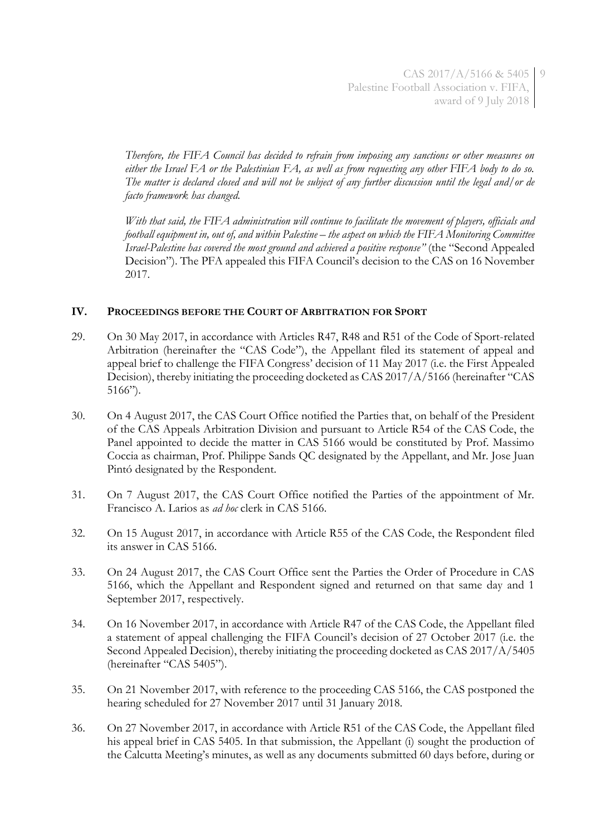*Therefore, the FIFA Council has decided to refrain from imposing any sanctions or other measures on either the Israel FA or the Palestinian FA, as well as from requesting any other FIFA body to do so. The matter is declared closed and will not be subject of any further discussion until the legal and/or de facto framework has changed.* 

*With that said, the FIFA administration will continue to facilitate the movement of players, officials and football equipment in, out of, and within Palestine – the aspect on which the FIFA Monitoring Committee Israel-Palestine has covered the most ground and achieved a positive response"* (the "Second Appealed Decision"). The PFA appealed this FIFA Council's decision to the CAS on 16 November 2017.

## **IV. PROCEEDINGS BEFORE THE COURT OF ARBITRATION FOR SPORT**

- 29. On 30 May 2017, in accordance with Articles R47, R48 and R51 of the Code of Sport-related Arbitration (hereinafter the "CAS Code"), the Appellant filed its statement of appeal and appeal brief to challenge the FIFA Congress' decision of 11 May 2017 (i.e. the First Appealed Decision), thereby initiating the proceeding docketed as CAS 2017/A/5166 (hereinafter "CAS 5166").
- 30. On 4 August 2017, the CAS Court Office notified the Parties that, on behalf of the President of the CAS Appeals Arbitration Division and pursuant to Article R54 of the CAS Code, the Panel appointed to decide the matter in CAS 5166 would be constituted by Prof. Massimo Coccia as chairman, Prof. Philippe Sands QC designated by the Appellant, and Mr. Jose Juan Pintó designated by the Respondent.
- 31. On 7 August 2017, the CAS Court Office notified the Parties of the appointment of Mr. Francisco A. Larios as *ad hoc* clerk in CAS 5166.
- 32. On 15 August 2017, in accordance with Article R55 of the CAS Code, the Respondent filed its answer in CAS 5166.
- 33. On 24 August 2017, the CAS Court Office sent the Parties the Order of Procedure in CAS 5166, which the Appellant and Respondent signed and returned on that same day and 1 September 2017, respectively.
- 34. On 16 November 2017, in accordance with Article R47 of the CAS Code, the Appellant filed a statement of appeal challenging the FIFA Council's decision of 27 October 2017 (i.e. the Second Appealed Decision), thereby initiating the proceeding docketed as CAS 2017/A/5405 (hereinafter "CAS 5405").
- 35. On 21 November 2017, with reference to the proceeding CAS 5166, the CAS postponed the hearing scheduled for 27 November 2017 until 31 January 2018.
- 36. On 27 November 2017, in accordance with Article R51 of the CAS Code, the Appellant filed his appeal brief in CAS 5405. In that submission, the Appellant (i) sought the production of the Calcutta Meeting's minutes, as well as any documents submitted 60 days before, during or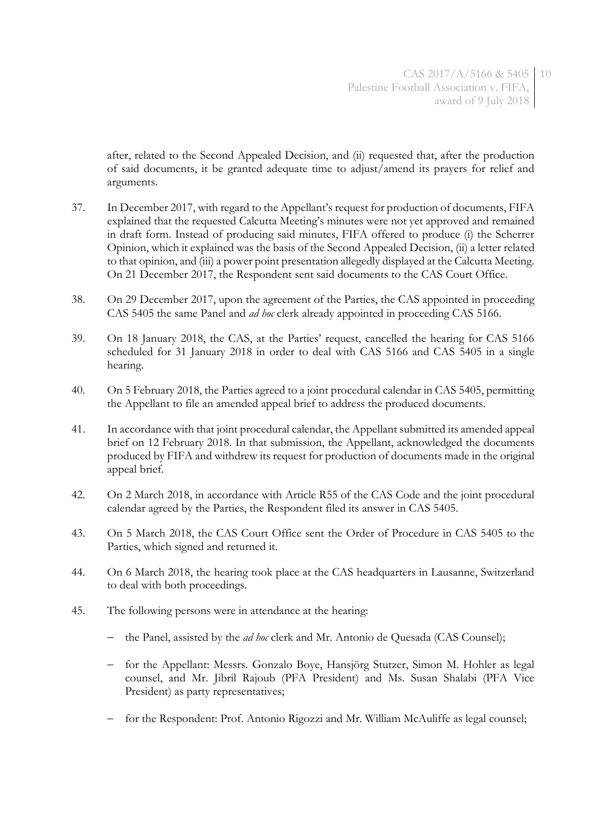after, related to the Second Appealed Decision, and (ii) requested that, after the production of said documents, it be granted adequate time to adjust/amend its prayers for relief and arguments.

- 37. In December 2017, with regard to the Appellant's request for production of documents, FIFA explained that the requested Calcutta Meeting's minutes were not yet approved and remained in draft form. Instead of producing said minutes, FIFA offered to produce (i) the Scherrer Opinion, which it explained was the basis of the Second Appealed Decision, (ii) a letter related to that opinion, and (iii) a power point presentation allegedly displayed at the Calcutta Meeting. On 21 December 2017, the Respondent sent said documents to the CAS Court Office.
- 38. On 29 December 2017, upon the agreement of the Parties, the CAS appointed in proceeding CAS 5405 the same Panel and *ad hoc* clerk already appointed in proceeding CAS 5166.
- 39. On 18 January 2018, the CAS, at the Parties' request, cancelled the hearing for CAS 5166 scheduled for 31 January 2018 in order to deal with CAS 5166 and CAS 5405 in a single hearing.
- 40. On 5 February 2018, the Parties agreed to a joint procedural calendar in CAS 5405, permitting the Appellant to file an amended appeal brief to address the produced documents.
- 41. In accordance with that joint procedural calendar, the Appellant submitted its amended appeal brief on 12 February 2018. In that submission, the Appellant, acknowledged the documents produced by FIFA and withdrew its request for production of documents made in the original appeal brief.
- 42. On 2 March 2018, in accordance with Article R55 of the CAS Code and the joint procedural calendar agreed by the Parties, the Respondent filed its answer in CAS 5405.
- 43. On 5 March 2018, the CAS Court Office sent the Order of Procedure in CAS 5405 to the Parties, which signed and returned it.
- 44. On 6 March 2018, the hearing took place at the CAS headquarters in Lausanne, Switzerland to deal with both proceedings.
- 45. The following persons were in attendance at the hearing:
	- the Panel, assisted by the *ad hoc* clerk and Mr. Antonio de Quesada (CAS Counsel);
	- for the Appellant: Messrs. Gonzalo Boye, Hansjörg Stutzer, Simon M. Hohler as legal counsel, and Mr. Jibril Rajoub (PFA President) and Ms. Susan Shalabi (PFA Vice President) as party representatives;
	- for the Respondent: Prof. Antonio Rigozzi and Mr. William McAuliffe as legal counsel;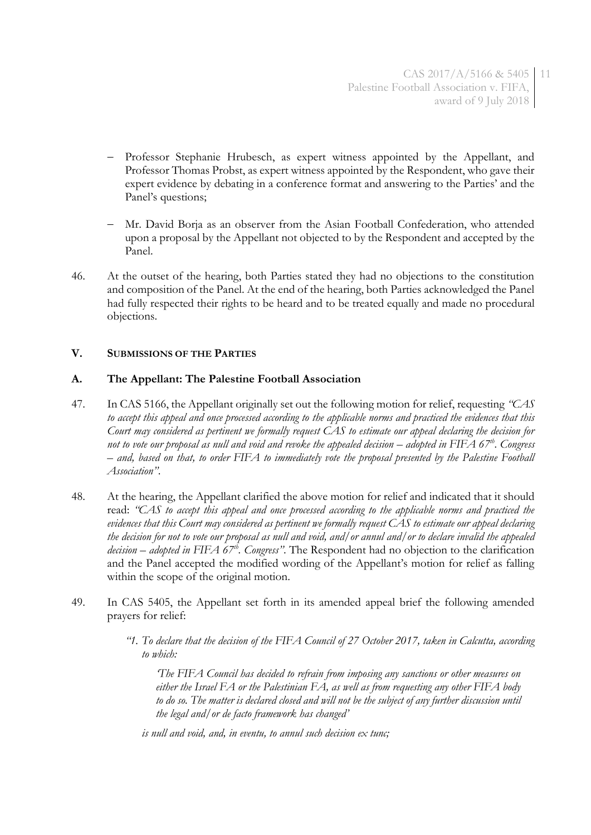- Professor Stephanie Hrubesch, as expert witness appointed by the Appellant, and Professor Thomas Probst, as expert witness appointed by the Respondent, who gave their expert evidence by debating in a conference format and answering to the Parties' and the Panel's questions;
- Mr. David Borja as an observer from the Asian Football Confederation, who attended upon a proposal by the Appellant not objected to by the Respondent and accepted by the Panel.
- 46. At the outset of the hearing, both Parties stated they had no objections to the constitution and composition of the Panel. At the end of the hearing, both Parties acknowledged the Panel had fully respected their rights to be heard and to be treated equally and made no procedural objections.

## **V. SUBMISSIONS OF THE PARTIES**

## **A. The Appellant: The Palestine Football Association**

- 47. In CAS 5166, the Appellant originally set out the following motion for relief, requesting *"CAS to accept this appeal and once processed according to the applicable norms and practiced the evidences that this Court may considered as pertinent we formally request CAS to estimate our appeal declaring the decision for not to vote our proposal as null and void and revoke the appealed decision – adopted in FIFA 67<sup>th</sup>. Congress – and, based on that, to order FIFA to immediately vote the proposal presented by the Palestine Football Association"*.
- 48. At the hearing, the Appellant clarified the above motion for relief and indicated that it should read: *"CAS to accept this appeal and once processed according to the applicable norms and practiced the evidences that this Court may considered as pertinent we formally request CAS to estimate our appeal declaring the decision for not to vote our proposal as null and void, and/or annul and/or to declare invalid the appealed decision – adopted in FIFA 67th. Congress"*. The Respondent had no objection to the clarification and the Panel accepted the modified wording of the Appellant's motion for relief as falling within the scope of the original motion.
- 49. In CAS 5405, the Appellant set forth in its amended appeal brief the following amended prayers for relief:
	- *"1. To declare that the decision of the FIFA Council of 27 October 2017, taken in Calcutta, according to which:*

*'The FIFA Council has decided to refrain from imposing any sanctions or other measures on either the Israel FA or the Palestinian FA, as well as from requesting any other FIFA body to do so. The matter is declared closed and will not be the subject of any further discussion until the legal and/or de facto framework has changed'*

*is null and void, and, in eventu, to annul such decision ex tunc;*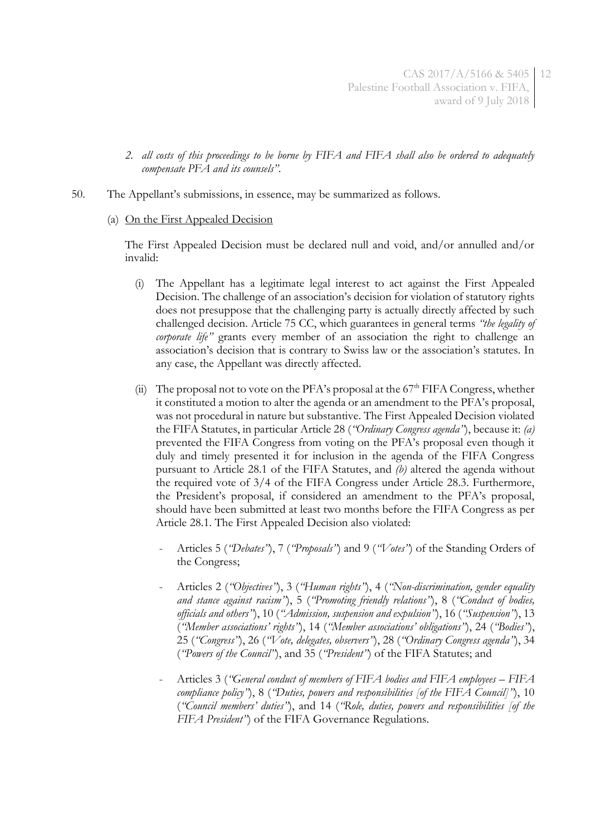- *2. all costs of this proceedings to be borne by FIFA and FIFA shall also be ordered to adequately compensate PFA and its counsels"*.
- <span id="page-11-0"></span>50. The Appellant's submissions, in essence, may be summarized as follows.
	- (a) On the First Appealed Decision

The First Appealed Decision must be declared null and void, and/or annulled and/or invalid:

- (i) The Appellant has a legitimate legal interest to act against the First Appealed Decision. The challenge of an association's decision for violation of statutory rights does not presuppose that the challenging party is actually directly affected by such challenged decision. Article 75 CC, which guarantees in general terms *"the legality of corporate life"* grants every member of an association the right to challenge an association's decision that is contrary to Swiss law or the association's statutes. In any case, the Appellant was directly affected.
- <span id="page-11-1"></span>(ii) The proposal not to vote on the PFA's proposal at the  $67<sup>th</sup>$  FIFA Congress, whether it constituted a motion to alter the agenda or an amendment to the PFA's proposal, was not procedural in nature but substantive. The First Appealed Decision violated the FIFA Statutes, in particular Article 28 (*"Ordinary Congress agenda"*), because it: *(a)* prevented the FIFA Congress from voting on the PFA's proposal even though it duly and timely presented it for inclusion in the agenda of the FIFA Congress pursuant to Article 28.1 of the FIFA Statutes, and *(b)* altered the agenda without the required vote of 3/4 of the FIFA Congress under Article 28.3. Furthermore, the President's proposal, if considered an amendment to the PFA's proposal, should have been submitted at least two months before the FIFA Congress as per Article 28.1. The First Appealed Decision also violated:
	- Articles 5 (*"Debates"*), 7 (*"Proposals"*) and 9 (*"Votes"*) of the Standing Orders of the Congress;
	- Articles 2 (*"Objectives"*), 3 (*"Human rights"*), 4 (*"Non-discrimination, gender equality and stance against racism"*), 5 (*"Promoting friendly relations"*), 8 (*"Conduct of bodies, officials and others"*), 10 (*"Admission, suspension and expulsion"*), 16 (*"Suspension"*), 13 (*"Member associations' rights"*), 14 (*"Member associations' obligations"*), 24 (*"Bodies"*), 25 (*"Congress"*), 26 (*"Vote, delegates, observers"*), 28 (*"Ordinary Congress agenda"*), 34 (*"Powers of the Council"*), and 35 (*"President"*) of the FIFA Statutes; and
	- Articles 3 (*"General conduct of members of FIFA bodies and FIFA employees – FIFA compliance policy"*), 8 (*"Duties, powers and responsibilities [of the FIFA Council]"*), 10 (*"Council members' duties"*), and 14 (*"Role, duties, powers and responsibilities [of the FIFA President"*) of the FIFA Governance Regulations.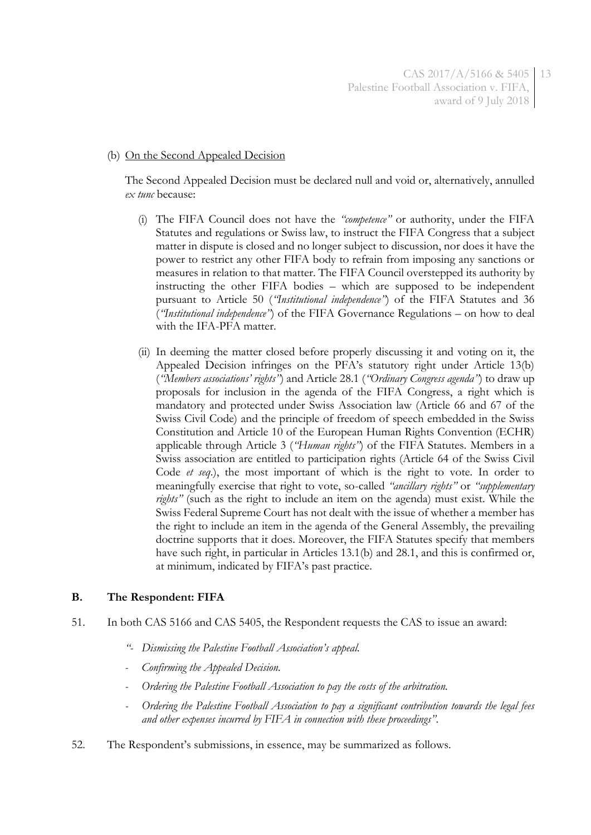#### (b) On the Second Appealed Decision

The Second Appealed Decision must be declared null and void or, alternatively, annulled *ex tunc* because:

- (i) The FIFA Council does not have the *"competence"* or authority, under the FIFA Statutes and regulations or Swiss law, to instruct the FIFA Congress that a subject matter in dispute is closed and no longer subject to discussion, nor does it have the power to restrict any other FIFA body to refrain from imposing any sanctions or measures in relation to that matter. The FIFA Council overstepped its authority by instructing the other FIFA bodies – which are supposed to be independent pursuant to Article 50 (*"Institutional independence"*) of the FIFA Statutes and 36 (*"Institutional independence"*) of the FIFA Governance Regulations – on how to deal with the IFA-PFA matter.
- <span id="page-12-0"></span>(ii) In deeming the matter closed before properly discussing it and voting on it, the Appealed Decision infringes on the PFA's statutory right under Article 13(b) (*"Members associations' rights"*) and Article 28.1 (*"Ordinary Congress agenda"*) to draw up proposals for inclusion in the agenda of the FIFA Congress, a right which is mandatory and protected under Swiss Association law (Article 66 and 67 of the Swiss Civil Code) and the principle of freedom of speech embedded in the Swiss Constitution and Article 10 of the European Human Rights Convention (ECHR) applicable through Article 3 (*"Human rights"*) of the FIFA Statutes. Members in a Swiss association are entitled to participation rights (Article 64 of the Swiss Civil Code *et seq*.), the most important of which is the right to vote. In order to meaningfully exercise that right to vote, so-called *"ancillary rights"* or *"supplementary rights"* (such as the right to include an item on the agenda) must exist. While the Swiss Federal Supreme Court has not dealt with the issue of whether a member has the right to include an item in the agenda of the General Assembly, the prevailing doctrine supports that it does. Moreover, the FIFA Statutes specify that members have such right, in particular in Articles 13.1(b) and 28.1, and this is confirmed or, at minimum, indicated by FIFA's past practice.

## **B. The Respondent: FIFA**

- 51. In both CAS 5166 and CAS 5405, the Respondent requests the CAS to issue an award:
	- *"- Dismissing the Palestine Football Association's appeal.*
	- *- Confirming the Appealed Decision.*
	- *- Ordering the Palestine Football Association to pay the costs of the arbitration.*
	- *- Ordering the Palestine Football Association to pay a significant contribution towards the legal fees and other expenses incurred by FIFA in connection with these proceedings"*.
- <span id="page-12-1"></span>52. The Respondent's submissions, in essence, may be summarized as follows.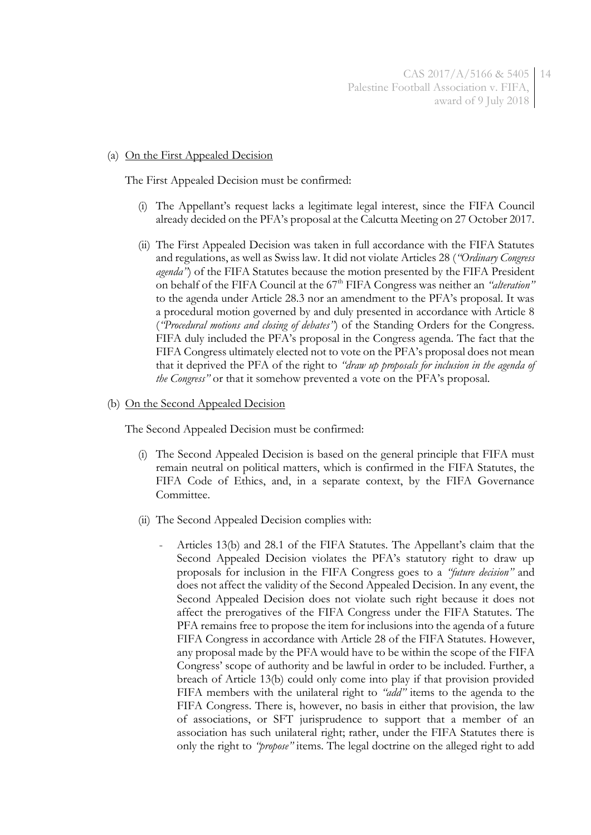#### (a) On the First Appealed Decision

The First Appealed Decision must be confirmed:

- (i) The Appellant's request lacks a legitimate legal interest, since the FIFA Council already decided on the PFA's proposal at the Calcutta Meeting on 27 October 2017.
- (ii) The First Appealed Decision was taken in full accordance with the FIFA Statutes and regulations, as well as Swiss law. It did not violate Articles 28 (*"Ordinary Congress agenda"*) of the FIFA Statutes because the motion presented by the FIFA President on behalf of the FIFA Council at the 67<sup>th</sup> FIFA Congress was neither an *"alteration"* to the agenda under Article 28.3 nor an amendment to the PFA's proposal. It was a procedural motion governed by and duly presented in accordance with Article 8 (*"Procedural motions and closing of debates"*) of the Standing Orders for the Congress. FIFA duly included the PFA's proposal in the Congress agenda. The fact that the FIFA Congress ultimately elected not to vote on the PFA's proposal does not mean that it deprived the PFA of the right to *"draw up proposals for inclusion in the agenda of the Congress"* or that it somehow prevented a vote on the PFA's proposal.

#### <span id="page-13-0"></span>(b) On the Second Appealed Decision

The Second Appealed Decision must be confirmed:

- (i) The Second Appealed Decision is based on the general principle that FIFA must remain neutral on political matters, which is confirmed in the FIFA Statutes, the FIFA Code of Ethics, and, in a separate context, by the FIFA Governance Committee.
- <span id="page-13-1"></span>(ii) The Second Appealed Decision complies with:
	- Articles 13(b) and 28.1 of the FIFA Statutes. The Appellant's claim that the Second Appealed Decision violates the PFA's statutory right to draw up proposals for inclusion in the FIFA Congress goes to a *"future decision"* and does not affect the validity of the Second Appealed Decision. In any event, the Second Appealed Decision does not violate such right because it does not affect the prerogatives of the FIFA Congress under the FIFA Statutes. The PFA remains free to propose the item for inclusions into the agenda of a future FIFA Congress in accordance with Article 28 of the FIFA Statutes. However, any proposal made by the PFA would have to be within the scope of the FIFA Congress' scope of authority and be lawful in order to be included. Further, a breach of Article 13(b) could only come into play if that provision provided FIFA members with the unilateral right to *"add"* items to the agenda to the FIFA Congress. There is, however, no basis in either that provision, the law of associations, or SFT jurisprudence to support that a member of an association has such unilateral right; rather, under the FIFA Statutes there is only the right to *"propose"* items. The legal doctrine on the alleged right to add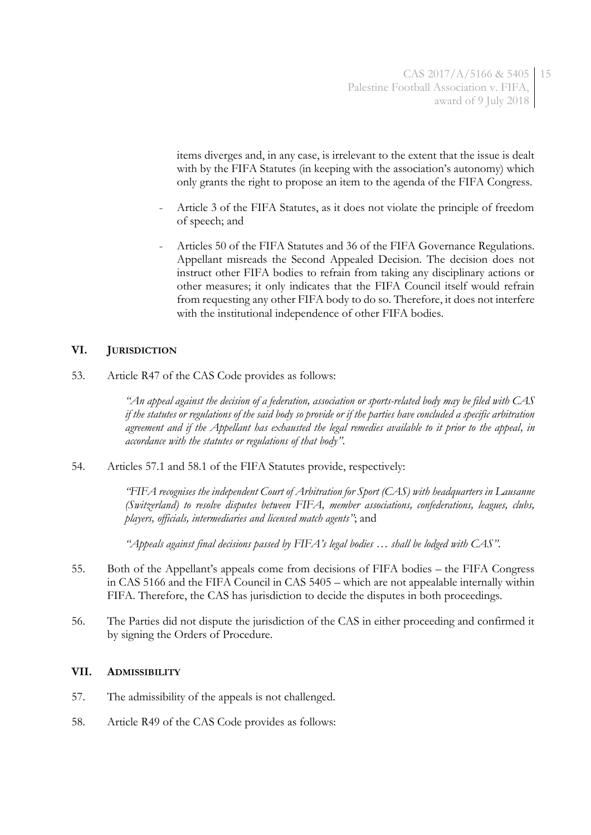items diverges and, in any case, is irrelevant to the extent that the issue is dealt with by the FIFA Statutes (in keeping with the association's autonomy) which only grants the right to propose an item to the agenda of the FIFA Congress.

- Article 3 of the FIFA Statutes, as it does not violate the principle of freedom of speech; and
- Articles 50 of the FIFA Statutes and 36 of the FIFA Governance Regulations. Appellant misreads the Second Appealed Decision. The decision does not instruct other FIFA bodies to refrain from taking any disciplinary actions or other measures; it only indicates that the FIFA Council itself would refrain from requesting any other FIFA body to do so. Therefore, it does not interfere with the institutional independence of other FIFA bodies.

## **VI. JURISDICTION**

53. Article R47 of the CAS Code provides as follows:

*"An appeal against the decision of a federation, association or sports-related body may be filed with CAS if the statutes or regulations of the said body so provide or if the parties have concluded a specific arbitration agreement and if the Appellant has exhausted the legal remedies available to it prior to the appeal, in accordance with the statutes or regulations of that body"*.

54. Articles 57.1 and 58.1 of the FIFA Statutes provide, respectively:

*"FIFA recognises the independent Court of Arbitration for Sport (CAS) with headquarters in Lausanne (Switzerland) to resolve disputes between FIFA, member associations, confederations, leagues, clubs, players, officials, intermediaries and licensed match agents"*; and

*"Appeals against final decisions passed by FIFA's legal bodies … shall be lodged with CAS"*.

- 55. Both of the Appellant's appeals come from decisions of FIFA bodies the FIFA Congress in CAS 5166 and the FIFA Council in CAS 5405 – which are not appealable internally within FIFA. Therefore, the CAS has jurisdiction to decide the disputes in both proceedings.
- 56. The Parties did not dispute the jurisdiction of the CAS in either proceeding and confirmed it by signing the Orders of Procedure.

#### **VII. ADMISSIBILITY**

- 57. The admissibility of the appeals is not challenged.
- 58. Article R49 of the CAS Code provides as follows: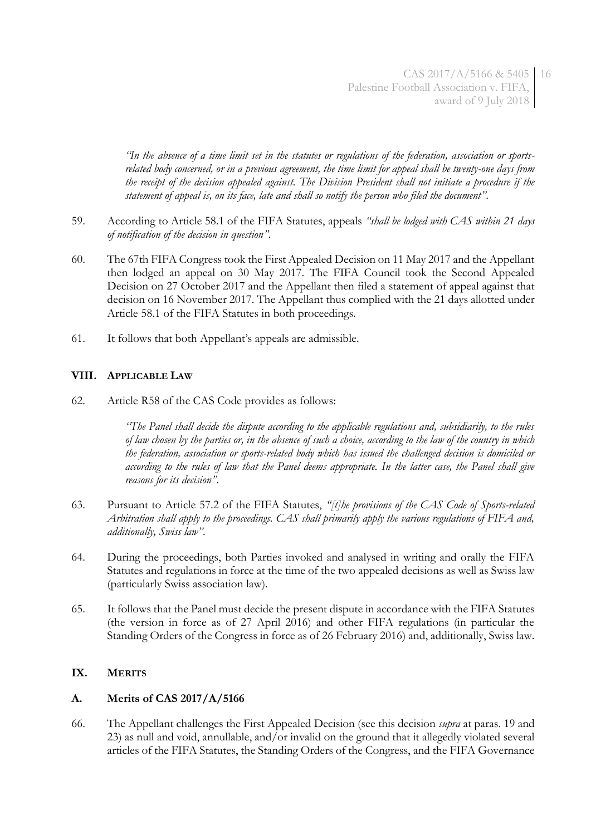*"In the absence of a time limit set in the statutes or regulations of the federation, association or sportsrelated body concerned, or in a previous agreement, the time limit for appeal shall be twenty-one days from the receipt of the decision appealed against. The Division President shall not initiate a procedure if the statement of appeal is, on its face, late and shall so notify the person who filed the document"*.

- 59. According to Article 58.1 of the FIFA Statutes, appeals *"shall be lodged with CAS within 21 days of notification of the decision in question"*.
- 60. The 67th FIFA Congress took the First Appealed Decision on 11 May 2017 and the Appellant then lodged an appeal on 30 May 2017. The FIFA Council took the Second Appealed Decision on 27 October 2017 and the Appellant then filed a statement of appeal against that decision on 16 November 2017. The Appellant thus complied with the 21 days allotted under Article 58.1 of the FIFA Statutes in both proceedings.
- 61. It follows that both Appellant's appeals are admissible.

## **VIII. APPLICABLE LAW**

62. Article R58 of the CAS Code provides as follows:

*"The Panel shall decide the dispute according to the applicable regulations and, subsidiarily, to the rules of law chosen by the parties or, in the absence of such a choice, according to the law of the country in which the federation, association or sports-related body which has issued the challenged decision is domiciled or according to the rules of law that the Panel deems appropriate. In the latter case, the Panel shall give reasons for its decision"*.

- 63. Pursuant to Article 57.2 of the FIFA Statutes, *"[t]he provisions of the CAS Code of Sports-related Arbitration shall apply to the proceedings. CAS shall primarily apply the various regulations of FIFA and, additionally, Swiss law"*.
- 64. During the proceedings, both Parties invoked and analysed in writing and orally the FIFA Statutes and regulations in force at the time of the two appealed decisions as well as Swiss law (particularly Swiss association law).
- 65. It follows that the Panel must decide the present dispute in accordance with the FIFA Statutes (the version in force as of 27 April 2016) and other FIFA regulations (in particular the Standing Orders of the Congress in force as of 26 February 2016) and, additionally, Swiss law.

## **IX. MERITS**

## **A. Merits of CAS 2017/A/5166**

66. The Appellant challenges the First Appealed Decision (see this decision *supra* at paras. [19](#page-5-0) and [23\)](#page-6-0) as null and void, annullable, and/or invalid on the ground that it allegedly violated several articles of the FIFA Statutes, the Standing Orders of the Congress, and the FIFA Governance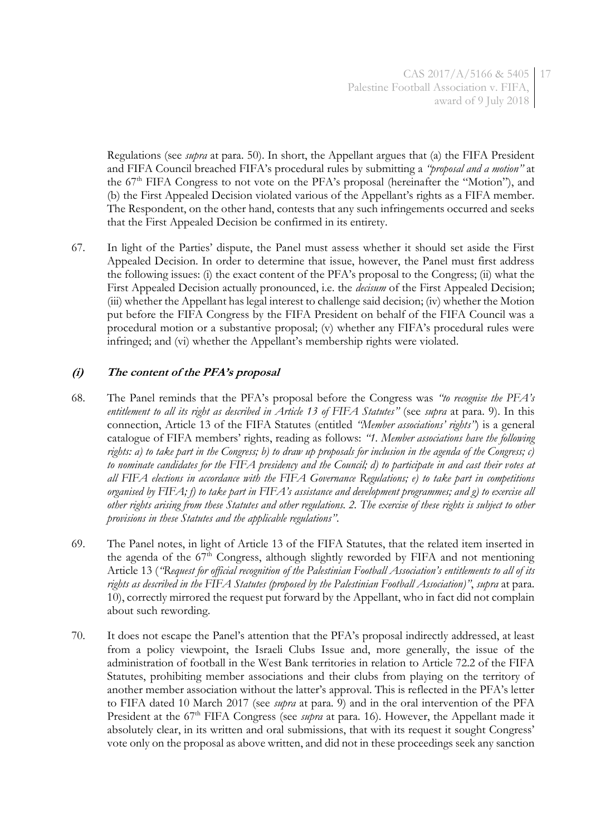Regulations (see *supra* at para. [50\)](#page-11-0). In short, the Appellant argues that (a) the FIFA President and FIFA Council breached FIFA's procedural rules by submitting a *"proposal and a motion"* at the 67<sup>th</sup> FIFA Congress to not vote on the PFA's proposal (hereinafter the "Motion"), and (b) the First Appealed Decision violated various of the Appellant's rights as a FIFA member. The Respondent, on the other hand, contests that any such infringements occurred and seeks that the First Appealed Decision be confirmed in its entirety.

67. In light of the Parties' dispute, the Panel must assess whether it should set aside the First Appealed Decision. In order to determine that issue, however, the Panel must first address the following issues: (i) the exact content of the PFA's proposal to the Congress; (ii) what the First Appealed Decision actually pronounced, i.e. the *decisum* of the First Appealed Decision; (iii) whether the Appellant has legal interest to challenge said decision; (iv) whether the Motion put before the FIFA Congress by the FIFA President on behalf of the FIFA Council was a procedural motion or a substantive proposal; (v) whether any FIFA's procedural rules were infringed; and (vi) whether the Appellant's membership rights were violated.

# **(i) The content of the PFA's proposal**

- 68. The Panel reminds that the PFA's proposal before the Congress was *"to recognise the PFA's entitlement to all its right as described in Article 13 of FIFA Statutes"* (see *supra* at para. [9\)](#page-2-0). In this connection, Article 13 of the FIFA Statutes (entitled *"Member associations' rights"*) is a general catalogue of FIFA members' rights, reading as follows: *"1. Member associations have the following rights: a) to take part in the Congress; b) to draw up proposals for inclusion in the agenda of the Congress; c) to nominate candidates for the FIFA presidency and the Council; d) to participate in and cast their votes at all FIFA elections in accordance with the FIFA Governance Regulations; e) to take part in competitions organised by FIFA; f) to take part in FIFA's assistance and development programmes; and g) to exercise all other rights arising from these Statutes and other regulations. 2. The exercise of these rights is subject to other provisions in these Statutes and the applicable regulations"*.
- 69. The Panel notes, in light of Article 13 of the FIFA Statutes, that the related item inserted in the agenda of the  $67<sup>th</sup>$  Congress, although slightly reworded by FIFA and not mentioning Article 13 (*"Request for official recognition of the Palestinian Football Association's entitlements to all of its rights as described in the FIFA Statutes (proposed by the Palestinian Football Association)"*, *supra* at para. [10\)](#page-3-0), correctly mirrored the request put forward by the Appellant, who in fact did not complain about such rewording.
- 70. It does not escape the Panel's attention that the PFA's proposal indirectly addressed, at least from a policy viewpoint, the Israeli Clubs Issue and, more generally, the issue of the administration of football in the West Bank territories in relation to Article 72.2 of the FIFA Statutes, prohibiting member associations and their clubs from playing on the territory of another member association without the latter's approval. This is reflected in the PFA's letter to FIFA dated 10 March 2017 (see *supra* at para. [9\)](#page-2-0) and in the oral intervention of the PFA President at the 67<sup>th</sup> FIFA Congress (see *supra* at para. [16\)](#page-4-0). However, the Appellant made it absolutely clear, in its written and oral submissions, that with its request it sought Congress' vote only on the proposal as above written, and did not in these proceedings seek any sanction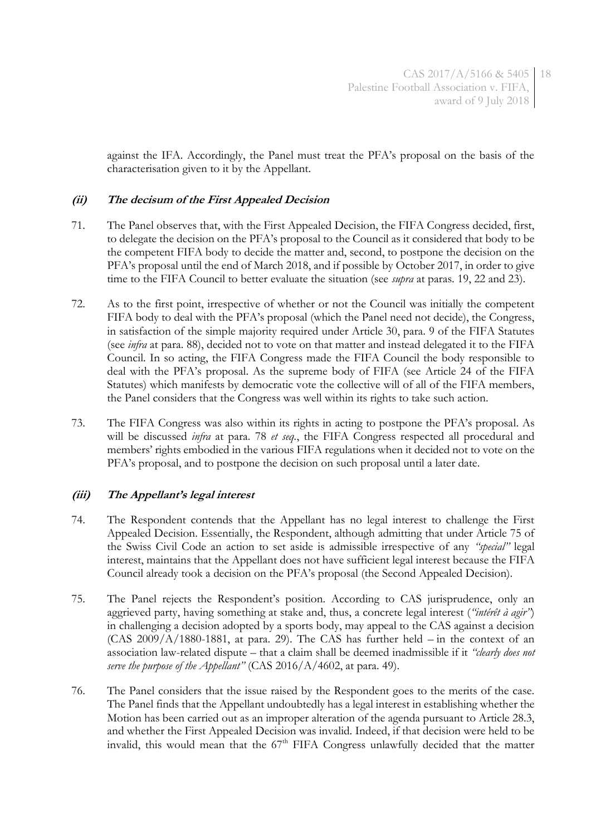against the IFA. Accordingly, the Panel must treat the PFA's proposal on the basis of the characterisation given to it by the Appellant.

## **(ii) The decisum of the First Appealed Decision**

- 71. The Panel observes that, with the First Appealed Decision, the FIFA Congress decided, first, to delegate the decision on the PFA's proposal to the Council as it considered that body to be the competent FIFA body to decide the matter and, second, to postpone the decision on the PFA's proposal until the end of March 2018, and if possible by October 2017, in order to give time to the FIFA Council to better evaluate the situation (see *supra* at paras. [19,](#page-5-0) [22](#page-6-1) and [23\)](#page-6-0).
- 72. As to the first point, irrespective of whether or not the Council was initially the competent FIFA body to deal with the PFA's proposal (which the Panel need not decide), the Congress, in satisfaction of the simple majority required under Article 30, para. 9 of the FIFA Statutes (see *infra* at para. [88\)](#page-20-0), decided not to vote on that matter and instead delegated it to the FIFA Council. In so acting, the FIFA Congress made the FIFA Council the body responsible to deal with the PFA's proposal. As the supreme body of FIFA (see Article 24 of the FIFA Statutes) which manifests by democratic vote the collective will of all of the FIFA members, the Panel considers that the Congress was well within its rights to take such action.
- 73. The FIFA Congress was also within its rights in acting to postpone the PFA's proposal. As will be discussed *infra* at para. [78](#page-18-0) *et seq.*, the FIFA Congress respected all procedural and members' rights embodied in the various FIFA regulations when it decided not to vote on the PFA's proposal, and to postpone the decision on such proposal until a later date.

## **(iii) The Appellant's legal interest**

- 74. The Respondent contends that the Appellant has no legal interest to challenge the First Appealed Decision. Essentially, the Respondent, although admitting that under Article 75 of the Swiss Civil Code an action to set aside is admissible irrespective of any *"special"* legal interest, maintains that the Appellant does not have sufficient legal interest because the FIFA Council already took a decision on the PFA's proposal (the Second Appealed Decision).
- 75. The Panel rejects the Respondent's position. According to CAS jurisprudence, only an aggrieved party, having something at stake and, thus, a concrete legal interest (*"intérêt à agir"*) in challenging a decision adopted by a sports body, may appeal to the CAS against a decision  $(CAS 2009/A/1880-1881$ , at para. 29). The CAS has further held  $-$  in the context of an association law-related dispute – that a claim shall be deemed inadmissible if it *"clearly does not serve the purpose of the Appellant"* (CAS 2016/A/4602, at para. 49).
- 76. The Panel considers that the issue raised by the Respondent goes to the merits of the case. The Panel finds that the Appellant undoubtedly has a legal interest in establishing whether the Motion has been carried out as an improper alteration of the agenda pursuant to Article 28.3, and whether the First Appealed Decision was invalid. Indeed, if that decision were held to be invalid, this would mean that the  $67<sup>th</sup>$  FIFA Congress unlawfully decided that the matter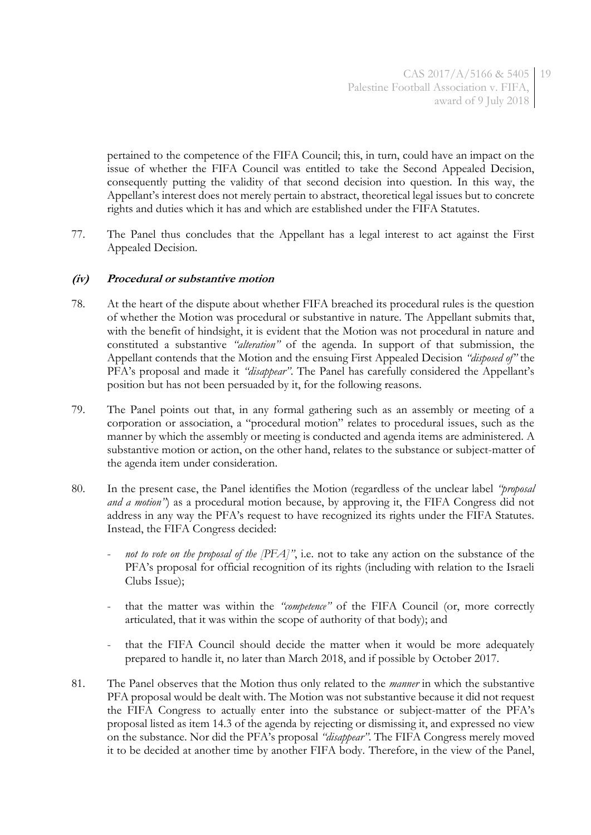pertained to the competence of the FIFA Council; this, in turn, could have an impact on the issue of whether the FIFA Council was entitled to take the Second Appealed Decision, consequently putting the validity of that second decision into question. In this way, the Appellant's interest does not merely pertain to abstract, theoretical legal issues but to concrete rights and duties which it has and which are established under the FIFA Statutes.

77. The Panel thus concludes that the Appellant has a legal interest to act against the First Appealed Decision.

## **(iv) Procedural or substantive motion**

- <span id="page-18-0"></span>78. At the heart of the dispute about whether FIFA breached its procedural rules is the question of whether the Motion was procedural or substantive in nature. The Appellant submits that, with the benefit of hindsight, it is evident that the Motion was not procedural in nature and constituted a substantive *"alteration"* of the agenda. In support of that submission, the Appellant contends that the Motion and the ensuing First Appealed Decision *"disposed of"* the PFA's proposal and made it *"disappear"*. The Panel has carefully considered the Appellant's position but has not been persuaded by it, for the following reasons.
- 79. The Panel points out that, in any formal gathering such as an assembly or meeting of a corporation or association, a "procedural motion" relates to procedural issues, such as the manner by which the assembly or meeting is conducted and agenda items are administered. A substantive motion or action, on the other hand, relates to the substance or subject-matter of the agenda item under consideration.
- 80. In the present case, the Panel identifies the Motion (regardless of the unclear label *"proposal and a motion*<sup>"</sup>) as a procedural motion because, by approving it, the FIFA Congress did not address in any way the PFA's request to have recognized its rights under the FIFA Statutes. Instead, the FIFA Congress decided:
	- not to vote on the proposal of the [PFA]<sup>"</sup>, i.e. not to take any action on the substance of the PFA's proposal for official recognition of its rights (including with relation to the Israeli Clubs Issue);
	- that the matter was within the *"competence"* of the FIFA Council (or, more correctly articulated, that it was within the scope of authority of that body); and
	- that the FIFA Council should decide the matter when it would be more adequately prepared to handle it, no later than March 2018, and if possible by October 2017.
- 81. The Panel observes that the Motion thus only related to the *manner* in which the substantive PFA proposal would be dealt with. The Motion was not substantive because it did not request the FIFA Congress to actually enter into the substance or subject-matter of the PFA's proposal listed as item 14.3 of the agenda by rejecting or dismissing it, and expressed no view on the substance. Nor did the PFA's proposal *"disappear"*. The FIFA Congress merely moved it to be decided at another time by another FIFA body. Therefore, in the view of the Panel,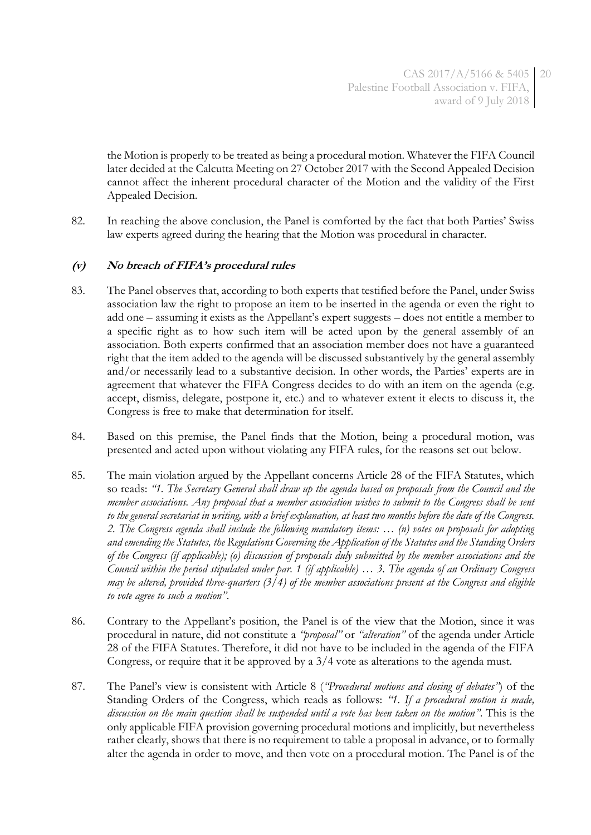the Motion is properly to be treated as being a procedural motion. Whatever the FIFA Council later decided at the Calcutta Meeting on 27 October 2017 with the Second Appealed Decision cannot affect the inherent procedural character of the Motion and the validity of the First Appealed Decision.

82. In reaching the above conclusion, the Panel is comforted by the fact that both Parties' Swiss law experts agreed during the hearing that the Motion was procedural in character.

## **(v) No breach of FIFA's procedural rules**

- 83. The Panel observes that, according to both experts that testified before the Panel, under Swiss association law the right to propose an item to be inserted in the agenda or even the right to add one – assuming it exists as the Appellant's expert suggests – does not entitle a member to a specific right as to how such item will be acted upon by the general assembly of an association. Both experts confirmed that an association member does not have a guaranteed right that the item added to the agenda will be discussed substantively by the general assembly and/or necessarily lead to a substantive decision. In other words, the Parties' experts are in agreement that whatever the FIFA Congress decides to do with an item on the agenda (e.g. accept, dismiss, delegate, postpone it, etc.) and to whatever extent it elects to discuss it, the Congress is free to make that determination for itself.
- 84. Based on this premise, the Panel finds that the Motion, being a procedural motion, was presented and acted upon without violating any FIFA rules, for the reasons set out below.
- <span id="page-19-0"></span>85. The main violation argued by the Appellant concerns Article 28 of the FIFA Statutes, which so reads: *"1. The Secretary General shall draw up the agenda based on proposals from the Council and the member associations. Any proposal that a member association wishes to submit to the Congress shall be sent to the general secretariat in writing, with a brief explanation, at least two months before the date of the Congress. 2. The Congress agenda shall include the following mandatory items: … (n) votes on proposals for adopting and emending the Statutes, the Regulations Governing the Application of the Statutes and the Standing Orders of the Congress (if applicable); (o) discussion of proposals duly submitted by the member associations and the Council within the period stipulated under par. 1 (if applicable) … 3. The agenda of an Ordinary Congress may be altered, provided three-quarters (3/4) of the member associations present at the Congress and eligible to vote agree to such a motion"*.
- 86. Contrary to the Appellant's position, the Panel is of the view that the Motion, since it was procedural in nature, did not constitute a *"proposal"* or *"alteration"* of the agenda under Article 28 of the FIFA Statutes. Therefore, it did not have to be included in the agenda of the FIFA Congress, or require that it be approved by a 3/4 vote as alterations to the agenda must.
- 87. The Panel's view is consistent with Article 8 (*"Procedural motions and closing of debates"*) of the Standing Orders of the Congress, which reads as follows: *"1. If a procedural motion is made, discussion on the main question shall be suspended until a vote has been taken on the motion"*. This is the only applicable FIFA provision governing procedural motions and implicitly, but nevertheless rather clearly, shows that there is no requirement to table a proposal in advance, or to formally alter the agenda in order to move, and then vote on a procedural motion. The Panel is of the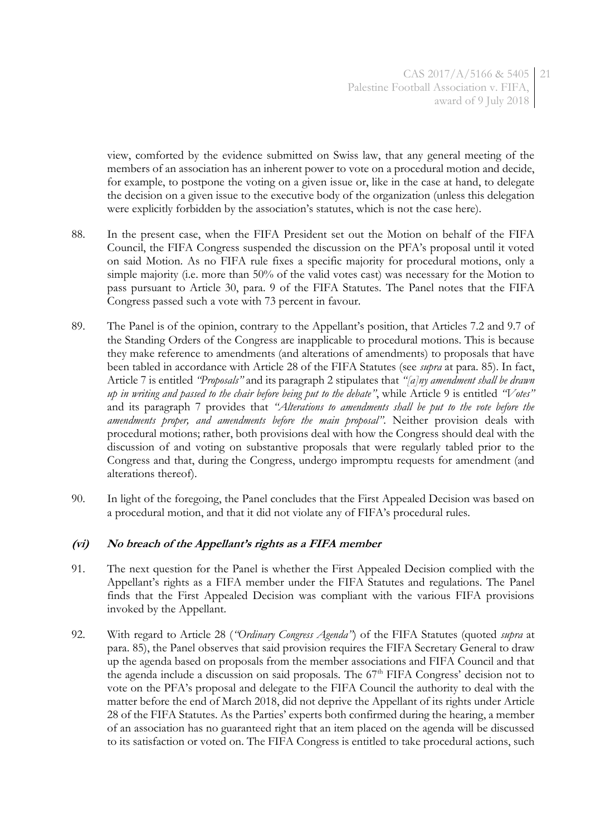view, comforted by the evidence submitted on Swiss law, that any general meeting of the members of an association has an inherent power to vote on a procedural motion and decide, for example, to postpone the voting on a given issue or, like in the case at hand, to delegate the decision on a given issue to the executive body of the organization (unless this delegation were explicitly forbidden by the association's statutes, which is not the case here).

- <span id="page-20-0"></span>88. In the present case, when the FIFA President set out the Motion on behalf of the FIFA Council, the FIFA Congress suspended the discussion on the PFA's proposal until it voted on said Motion. As no FIFA rule fixes a specific majority for procedural motions, only a simple majority (i.e. more than 50% of the valid votes cast) was necessary for the Motion to pass pursuant to Article 30, para. 9 of the FIFA Statutes. The Panel notes that the FIFA Congress passed such a vote with 73 percent in favour.
- 89. The Panel is of the opinion, contrary to the Appellant's position, that Articles 7.2 and 9.7 of the Standing Orders of the Congress are inapplicable to procedural motions. This is because they make reference to amendments (and alterations of amendments) to proposals that have been tabled in accordance with Article 28 of the FIFA Statutes (see *supra* at para. [85\)](#page-19-0). In fact, Article 7 is entitled *"Proposals"* and its paragraph 2 stipulates that *"[a]ny amendment shall be drawn up in writing and passed to the chair before being put to the debate"*, while Article 9 is entitled *"Votes"* and its paragraph 7 provides that *"Alterations to amendments shall be put to the vote before the amendments proper, and amendments before the main proposal"*. Neither provision deals with procedural motions; rather, both provisions deal with how the Congress should deal with the discussion of and voting on substantive proposals that were regularly tabled prior to the Congress and that, during the Congress, undergo impromptu requests for amendment (and alterations thereof).
- 90. In light of the foregoing, the Panel concludes that the First Appealed Decision was based on a procedural motion, and that it did not violate any of FIFA's procedural rules.

## **(vi) No breach of the Appellant's rights as a FIFA member**

- <span id="page-20-1"></span>91. The next question for the Panel is whether the First Appealed Decision complied with the Appellant's rights as a FIFA member under the FIFA Statutes and regulations. The Panel finds that the First Appealed Decision was compliant with the various FIFA provisions invoked by the Appellant.
- <span id="page-20-2"></span>92. With regard to Article 28 (*"Ordinary Congress Agenda"*) of the FIFA Statutes (quoted *supra* at para. [85\)](#page-19-0), the Panel observes that said provision requires the FIFA Secretary General to draw up the agenda based on proposals from the member associations and FIFA Council and that the agenda include a discussion on said proposals. The 67<sup>th</sup> FIFA Congress' decision not to vote on the PFA's proposal and delegate to the FIFA Council the authority to deal with the matter before the end of March 2018, did not deprive the Appellant of its rights under Article 28 of the FIFA Statutes. As the Parties' experts both confirmed during the hearing, a member of an association has no guaranteed right that an item placed on the agenda will be discussed to its satisfaction or voted on. The FIFA Congress is entitled to take procedural actions, such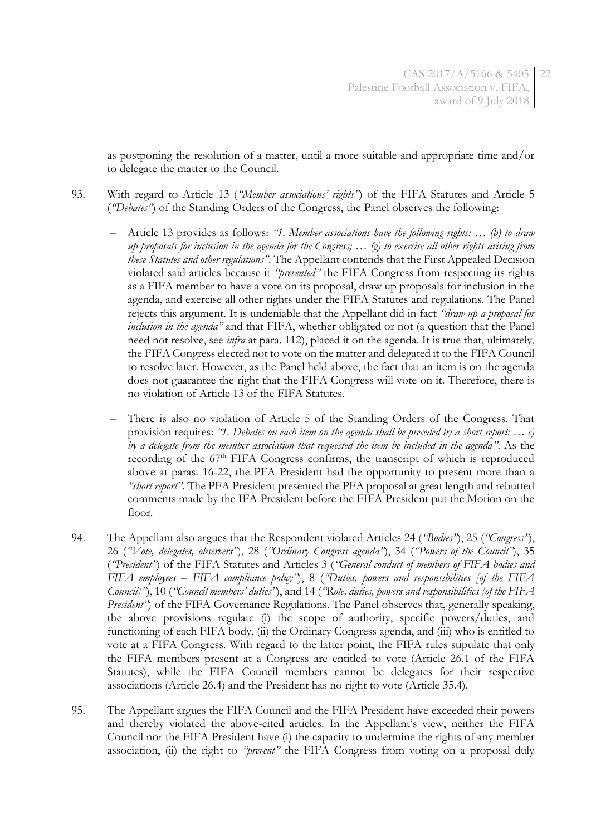<span id="page-21-0"></span>as postponing the resolution of a matter, until a more suitable and appropriate time and/or to delegate the matter to the Council.

- 93. With regard to Article 13 (*"Member associations' rights"*) of the FIFA Statutes and Article 5 (*"Debates"*) of the Standing Orders of the Congress, the Panel observes the following:
	- Article 13 provides as follows: *"1. Member associations have the following rights: … (b) to draw up proposals for inclusion in the agenda for the Congress; … (g) to exercise all other rights arising from these Statutes and other regulations"*. The Appellant contends that the First Appealed Decision violated said articles because it *"prevented"* the FIFA Congress from respecting its rights as a FIFA member to have a vote on its proposal, draw up proposals for inclusion in the agenda, and exercise all other rights under the FIFA Statutes and regulations. The Panel rejects this argument. It is undeniable that the Appellant did in fact *"draw up a proposal for inclusion in the agenda"* and that FIFA, whether obligated or not (a question that the Panel need not resolve, see *infra* at para. [112\)](#page-26-0), placed it on the agenda. It is true that, ultimately, the FIFA Congress elected not to vote on the matter and delegated it to the FIFA Council to resolve later. However, as the Panel held above, the fact that an item is on the agenda does not guarantee the right that the FIFA Congress will vote on it. Therefore, there is no violation of Article 13 of the FIFA Statutes.
	- There is also no violation of Article 5 of the Standing Orders of the Congress. That provision requires: *"1. Debates on each item on the agenda shall be preceded by a short report: … c) by a delegate from the member association that requested the item be included in the agenda"*. As the recording of the 67<sup>th</sup> FIFA Congress confirms, the transcript of which is reproduced above at paras. [16-](#page-4-0)[22,](#page-6-1) the PFA President had the opportunity to present more than a *"short report"*. The PFA President presented the PFA proposal at great length and rebutted comments made by the IFA President before the FIFA President put the Motion on the floor.
- 94. The Appellant also argues that the Respondent violated Articles 24 (*"Bodies"*), 25 (*"Congress"*), 26 (*"Vote, delegates, observers"*), 28 (*"Ordinary Congress agenda"*), 34 (*"Powers of the Council"*), 35 (*"President"*) of the FIFA Statutes and Articles 3 (*"General conduct of members of FIFA bodies and FIFA employees – FIFA compliance policy"*), 8 (*"Duties, powers and responsibilities [of the FIFA Council]"*), 10 (*"Council members' duties"*), and 14 (*"Role, duties, powers and responsibilities [of the FIFA President*<sup>"</sup>) of the FIFA Governance Regulations. The Panel observes that, generally speaking, the above provisions regulate (i) the scope of authority, specific powers/duties, and functioning of each FIFA body, (ii) the Ordinary Congress agenda, and (iii) who is entitled to vote at a FIFA Congress. With regard to the latter point, the FIFA rules stipulate that only the FIFA members present at a Congress are entitled to vote (Article 26.1 of the FIFA Statutes), while the FIFA Council members cannot be delegates for their respective associations (Article 26.4) and the President has no right to vote (Article 35.4).
- 95. The Appellant argues the FIFA Council and the FIFA President have exceeded their powers and thereby violated the above-cited articles. In the Appellant's view, neither the FIFA Council nor the FIFA President have (i) the capacity to undermine the rights of any member association, (ii) the right to *"prevent"* the FIFA Congress from voting on a proposal duly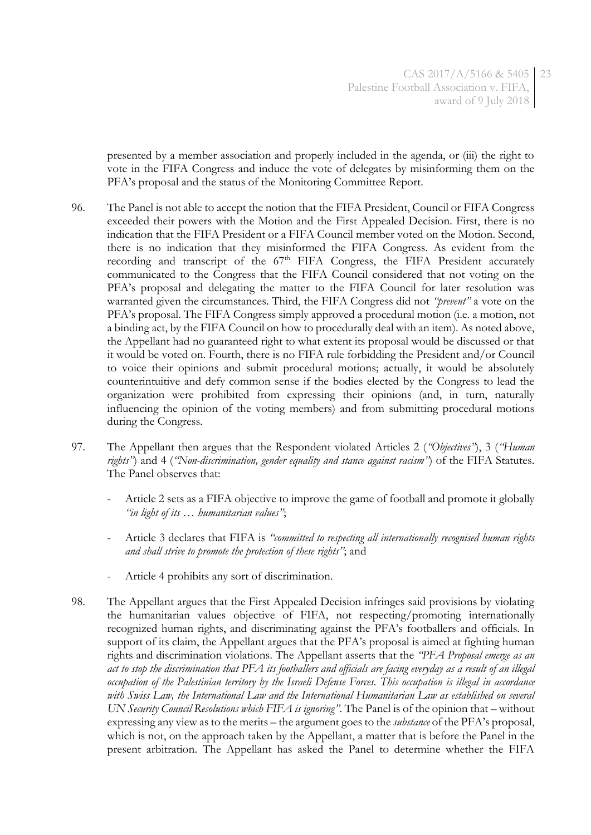presented by a member association and properly included in the agenda, or (iii) the right to vote in the FIFA Congress and induce the vote of delegates by misinforming them on the PFA's proposal and the status of the Monitoring Committee Report.

- 96. The Panel is not able to accept the notion that the FIFA President, Council or FIFA Congress exceeded their powers with the Motion and the First Appealed Decision. First, there is no indication that the FIFA President or a FIFA Council member voted on the Motion. Second, there is no indication that they misinformed the FIFA Congress. As evident from the recording and transcript of the 67<sup>th</sup> FIFA Congress, the FIFA President accurately communicated to the Congress that the FIFA Council considered that not voting on the PFA's proposal and delegating the matter to the FIFA Council for later resolution was warranted given the circumstances. Third, the FIFA Congress did not *"prevent"* a vote on the PFA's proposal. The FIFA Congress simply approved a procedural motion (i.e. a motion, not a binding act, by the FIFA Council on how to procedurally deal with an item). As noted above, the Appellant had no guaranteed right to what extent its proposal would be discussed or that it would be voted on. Fourth, there is no FIFA rule forbidding the President and/or Council to voice their opinions and submit procedural motions; actually, it would be absolutely counterintuitive and defy common sense if the bodies elected by the Congress to lead the organization were prohibited from expressing their opinions (and, in turn, naturally influencing the opinion of the voting members) and from submitting procedural motions during the Congress.
- 97. The Appellant then argues that the Respondent violated Articles 2 (*"Objectives"*), 3 (*"Human rights"*) and 4 (*"Non-discrimination, gender equality and stance against racism"*) of the FIFA Statutes. The Panel observes that:
	- Article 2 sets as a FIFA objective to improve the game of football and promote it globally *"in light of its … humanitarian values"*;
	- Article 3 declares that FIFA is *"committed to respecting all internationally recognised human rights and shall strive to promote the protection of these rights"*; and
	- Article 4 prohibits any sort of discrimination.
- 98. The Appellant argues that the First Appealed Decision infringes said provisions by violating the humanitarian values objective of FIFA, not respecting/promoting internationally recognized human rights, and discriminating against the PFA's footballers and officials. In support of its claim, the Appellant argues that the PFA's proposal is aimed at fighting human rights and discrimination violations. The Appellant asserts that the *"PFA Proposal emerge as an act to stop the discrimination that PFA its footballers and officials are facing everyday as a result of an illegal occupation of the Palestinian territory by the Israeli Defense Forces. This occupation is illegal in accordance with Swiss Law, the International Law and the International Humanitarian Law as established on several UN Security Council Resolutions which FIFA is ignoring"*. The Panel is of the opinion that – without expressing any view as to the merits – the argument goes to the *substance* of the PFA's proposal, which is not, on the approach taken by the Appellant, a matter that is before the Panel in the present arbitration. The Appellant has asked the Panel to determine whether the FIFA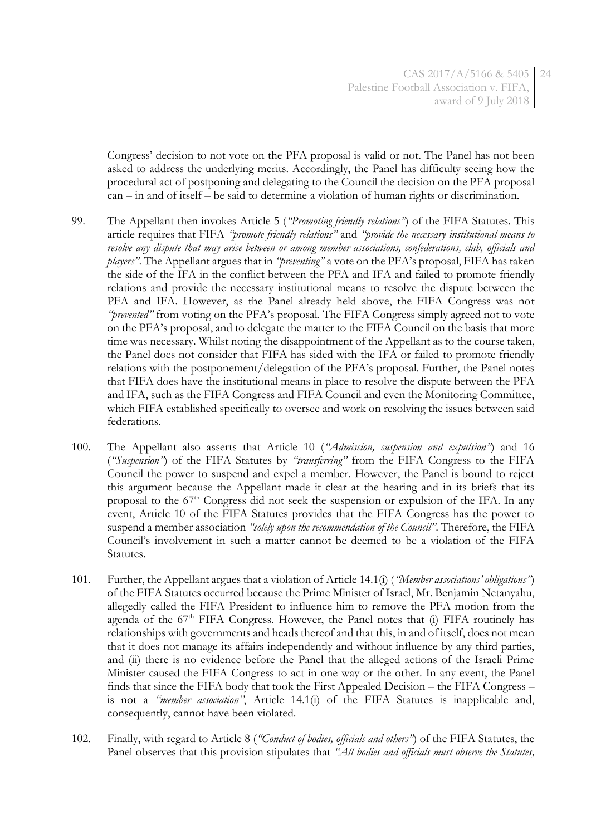Congress' decision to not vote on the PFA proposal is valid or not. The Panel has not been asked to address the underlying merits. Accordingly, the Panel has difficulty seeing how the procedural act of postponing and delegating to the Council the decision on the PFA proposal can – in and of itself – be said to determine a violation of human rights or discrimination.

- 99. The Appellant then invokes Article 5 (*"Promoting friendly relations"*) of the FIFA Statutes. This article requires that FIFA *"promote friendly relations"* and *"provide the necessary institutional means to resolve any dispute that may arise between or among member associations, confederations, club, officials and players"*. The Appellant argues that in *"preventing"* a vote on the PFA's proposal, FIFA has taken the side of the IFA in the conflict between the PFA and IFA and failed to promote friendly relations and provide the necessary institutional means to resolve the dispute between the PFA and IFA. However, as the Panel already held above, the FIFA Congress was not *"prevented"* from voting on the PFA's proposal. The FIFA Congress simply agreed not to vote on the PFA's proposal, and to delegate the matter to the FIFA Council on the basis that more time was necessary. Whilst noting the disappointment of the Appellant as to the course taken, the Panel does not consider that FIFA has sided with the IFA or failed to promote friendly relations with the postponement/delegation of the PFA's proposal. Further, the Panel notes that FIFA does have the institutional means in place to resolve the dispute between the PFA and IFA, such as the FIFA Congress and FIFA Council and even the Monitoring Committee, which FIFA established specifically to oversee and work on resolving the issues between said federations.
- 100. The Appellant also asserts that Article 10 (*"Admission, suspension and expulsion"*) and 16 (*"Suspension"*) of the FIFA Statutes by *"transferring"* from the FIFA Congress to the FIFA Council the power to suspend and expel a member. However, the Panel is bound to reject this argument because the Appellant made it clear at the hearing and in its briefs that its proposal to the 67<sup>th</sup> Congress did not seek the suspension or expulsion of the IFA. In any event, Article 10 of the FIFA Statutes provides that the FIFA Congress has the power to suspend a member association *"solely upon the recommendation of the Council"*. Therefore, the FIFA Council's involvement in such a matter cannot be deemed to be a violation of the FIFA Statutes.
- 101. Further, the Appellant argues that a violation of Article 14.1(i) (*"Member associations' obligations"*) of the FIFA Statutes occurred because the Prime Minister of Israel, Mr. Benjamin Netanyahu, allegedly called the FIFA President to influence him to remove the PFA motion from the agenda of the  $67<sup>th</sup>$  FIFA Congress. However, the Panel notes that (i) FIFA routinely has relationships with governments and heads thereof and that this, in and of itself, does not mean that it does not manage its affairs independently and without influence by any third parties, and (ii) there is no evidence before the Panel that the alleged actions of the Israeli Prime Minister caused the FIFA Congress to act in one way or the other. In any event, the Panel finds that since the FIFA body that took the First Appealed Decision – the FIFA Congress – is not a *"member association"*, Article 14.1(i) of the FIFA Statutes is inapplicable and, consequently, cannot have been violated.
- 102. Finally, with regard to Article 8 (*"Conduct of bodies, officials and others"*) of the FIFA Statutes, the Panel observes that this provision stipulates that *"All bodies and officials must observe the Statutes,*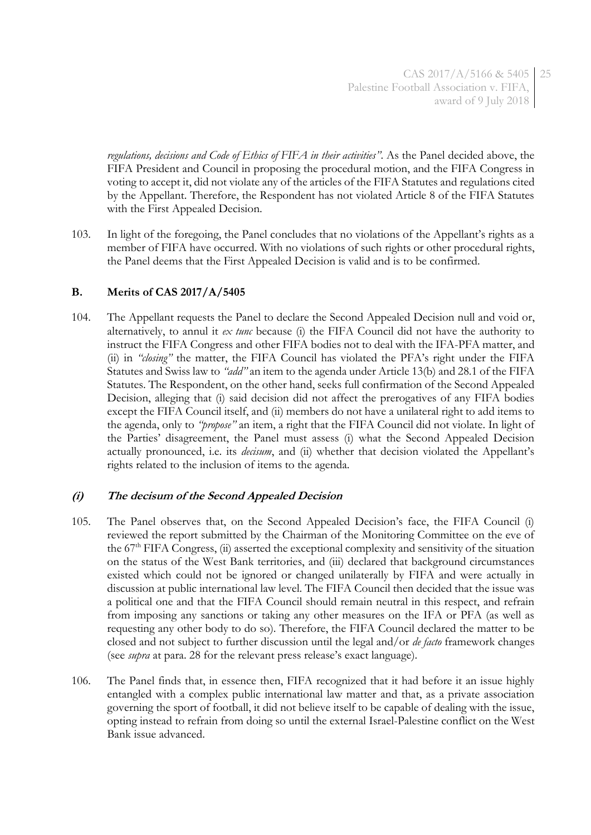*regulations, decisions and Code of Ethics of FIFA in their activities"*. As the Panel decided above, the FIFA President and Council in proposing the procedural motion, and the FIFA Congress in voting to accept it, did not violate any of the articles of the FIFA Statutes and regulations cited by the Appellant. Therefore, the Respondent has not violated Article 8 of the FIFA Statutes with the First Appealed Decision.

103. In light of the foregoing, the Panel concludes that no violations of the Appellant's rights as a member of FIFA have occurred. With no violations of such rights or other procedural rights, the Panel deems that the First Appealed Decision is valid and is to be confirmed.

# **B. Merits of CAS 2017/A/5405**

104. The Appellant requests the Panel to declare the Second Appealed Decision null and void or, alternatively, to annul it *ex tunc* because (i) the FIFA Council did not have the authority to instruct the FIFA Congress and other FIFA bodies not to deal with the IFA-PFA matter, and (ii) in *"closing"* the matter, the FIFA Council has violated the PFA's right under the FIFA Statutes and Swiss law to *"add"* an item to the agenda under Article 13(b) and 28.1 of the FIFA Statutes. The Respondent, on the other hand, seeks full confirmation of the Second Appealed Decision, alleging that (i) said decision did not affect the prerogatives of any FIFA bodies except the FIFA Council itself, and (ii) members do not have a unilateral right to add items to the agenda, only to *"propose"* an item, a right that the FIFA Council did not violate. In light of the Parties' disagreement, the Panel must assess (i) what the Second Appealed Decision actually pronounced, i.e. its *decisum*, and (ii) whether that decision violated the Appellant's rights related to the inclusion of items to the agenda.

# **(i) The decisum of the Second Appealed Decision**

- 105. The Panel observes that, on the Second Appealed Decision's face, the FIFA Council (i) reviewed the report submitted by the Chairman of the Monitoring Committee on the eve of the 67th FIFA Congress, (ii) asserted the exceptional complexity and sensitivity of the situation on the status of the West Bank territories, and (iii) declared that background circumstances existed which could not be ignored or changed unilaterally by FIFA and were actually in discussion at public international law level. The FIFA Council then decided that the issue was a political one and that the FIFA Council should remain neutral in this respect, and refrain from imposing any sanctions or taking any other measures on the IFA or PFA (as well as requesting any other body to do so). Therefore, the FIFA Council declared the matter to be closed and not subject to further discussion until the legal and/or *de facto* framework changes (see *supra* at para. [28](#page-7-0) for the relevant press release's exact language).
- 106. The Panel finds that, in essence then, FIFA recognized that it had before it an issue highly entangled with a complex public international law matter and that, as a private association governing the sport of football, it did not believe itself to be capable of dealing with the issue, opting instead to refrain from doing so until the external Israel-Palestine conflict on the West Bank issue advanced.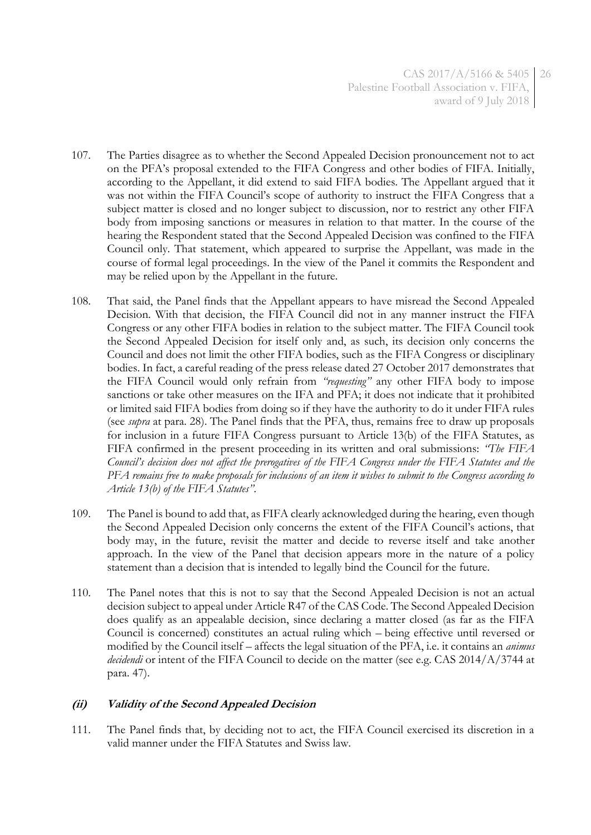- 107. The Parties disagree as to whether the Second Appealed Decision pronouncement not to act on the PFA's proposal extended to the FIFA Congress and other bodies of FIFA. Initially, according to the Appellant, it did extend to said FIFA bodies. The Appellant argued that it was not within the FIFA Council's scope of authority to instruct the FIFA Congress that a subject matter is closed and no longer subject to discussion, nor to restrict any other FIFA body from imposing sanctions or measures in relation to that matter. In the course of the hearing the Respondent stated that the Second Appealed Decision was confined to the FIFA Council only. That statement, which appeared to surprise the Appellant, was made in the course of formal legal proceedings. In the view of the Panel it commits the Respondent and may be relied upon by the Appellant in the future.
- <span id="page-25-0"></span>108. That said, the Panel finds that the Appellant appears to have misread the Second Appealed Decision. With that decision, the FIFA Council did not in any manner instruct the FIFA Congress or any other FIFA bodies in relation to the subject matter. The FIFA Council took the Second Appealed Decision for itself only and, as such, its decision only concerns the Council and does not limit the other FIFA bodies, such as the FIFA Congress or disciplinary bodies. In fact, a careful reading of the press release dated 27 October 2017 demonstrates that the FIFA Council would only refrain from *"requesting"* any other FIFA body to impose sanctions or take other measures on the IFA and PFA; it does not indicate that it prohibited or limited said FIFA bodies from doing so if they have the authority to do it under FIFA rules (see *supra* at para. [28\)](#page-7-0). The Panel finds that the PFA, thus, remains free to draw up proposals for inclusion in a future FIFA Congress pursuant to Article 13(b) of the FIFA Statutes, as FIFA confirmed in the present proceeding in its written and oral submissions: *"The FIFA Council's decision does not affect the prerogatives of the FIFA Congress under the FIFA Statutes and the PFA remains free to make proposals for inclusions of an item it wishes to submit to the Congress according to Article 13(b) of the FIFA Statutes"*.
- 109. The Panel is bound to add that, as FIFA clearly acknowledged during the hearing, even though the Second Appealed Decision only concerns the extent of the FIFA Council's actions, that body may, in the future, revisit the matter and decide to reverse itself and take another approach. In the view of the Panel that decision appears more in the nature of a policy statement than a decision that is intended to legally bind the Council for the future.
- 110. The Panel notes that this is not to say that the Second Appealed Decision is not an actual decision subject to appeal under Article R47 of the CAS Code. The Second Appealed Decision does qualify as an appealable decision, since declaring a matter closed (as far as the FIFA Council is concerned) constitutes an actual ruling which – being effective until reversed or modified by the Council itself – affects the legal situation of the PFA, i.e. it contains an *animus decidendi* or intent of the FIFA Council to decide on the matter (see e.g. CAS 2014/A/3744 at para. 47).

## **(ii) Validity of the Second Appealed Decision**

111. The Panel finds that, by deciding not to act, the FIFA Council exercised its discretion in a valid manner under the FIFA Statutes and Swiss law.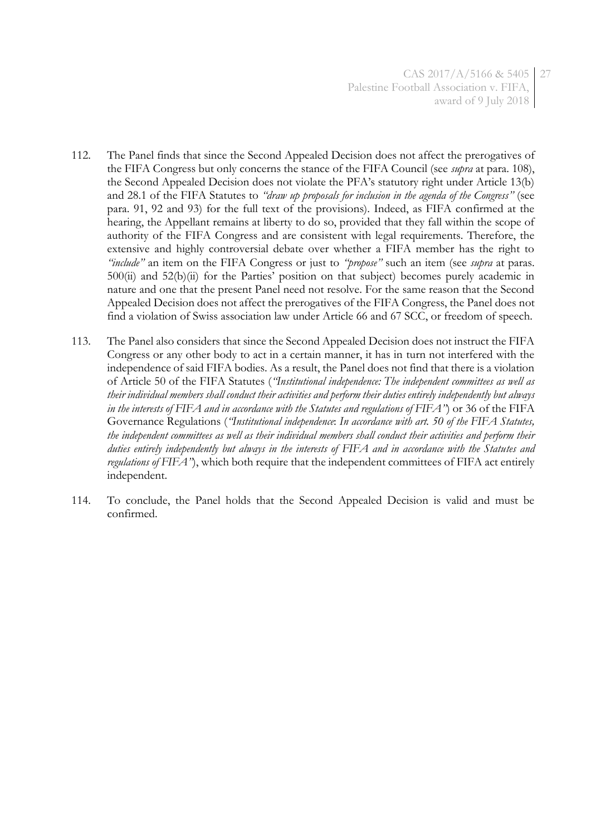- <span id="page-26-0"></span>112. The Panel finds that since the Second Appealed Decision does not affect the prerogatives of the FIFA Congress but only concerns the stance of the FIFA Council (see *supra* at para[. 108\)](#page-25-0), the Second Appealed Decision does not violate the PFA's statutory right under Article 13(b) and 28.1 of the FIFA Statutes to *"draw up proposals for inclusion in the agenda of the Congress"* (see para. [91,](#page-20-1) [92](#page-20-2) and [93\)](#page-21-0) for the full text of the provisions). Indeed, as FIFA confirmed at the hearing, the Appellant remains at liberty to do so, provided that they fall within the scope of authority of the FIFA Congress and are consistent with legal requirements. Therefore, the extensive and highly controversial debate over whether a FIFA member has the right to *"include"* an item on the FIFA Congress or just to *"propose"* such an item (see *supra* at paras. [50](#page-11-0)[0](#page-11-1)[\(ii\)](#page-12-0) and [52](#page-12-1)[\(b\)](#page-13-0)[\(ii\)](#page-13-1) for the Parties' position on that subject) becomes purely academic in nature and one that the present Panel need not resolve. For the same reason that the Second Appealed Decision does not affect the prerogatives of the FIFA Congress, the Panel does not find a violation of Swiss association law under Article 66 and 67 SCC, or freedom of speech.
- 113. The Panel also considers that since the Second Appealed Decision does not instruct the FIFA Congress or any other body to act in a certain manner, it has in turn not interfered with the independence of said FIFA bodies. As a result, the Panel does not find that there is a violation of Article 50 of the FIFA Statutes (*"Institutional independence: The independent committees as well as their individual members shall conduct their activities and perform their duties entirely independently but always in the interests of FIFA and in accordance with the Statutes and regulations of FIFA"*) or 36 of the FIFA Governance Regulations (*"Institutional independence*: *In accordance with art. 50 of the FIFA Statutes, the independent committees as well as their individual members shall conduct their activities and perform their duties entirely independently but always in the interests of FIFA and in accordance with the Statutes and regulations of FIFA"*), which both require that the independent committees of FIFA act entirely independent.
- 114. To conclude, the Panel holds that the Second Appealed Decision is valid and must be confirmed.